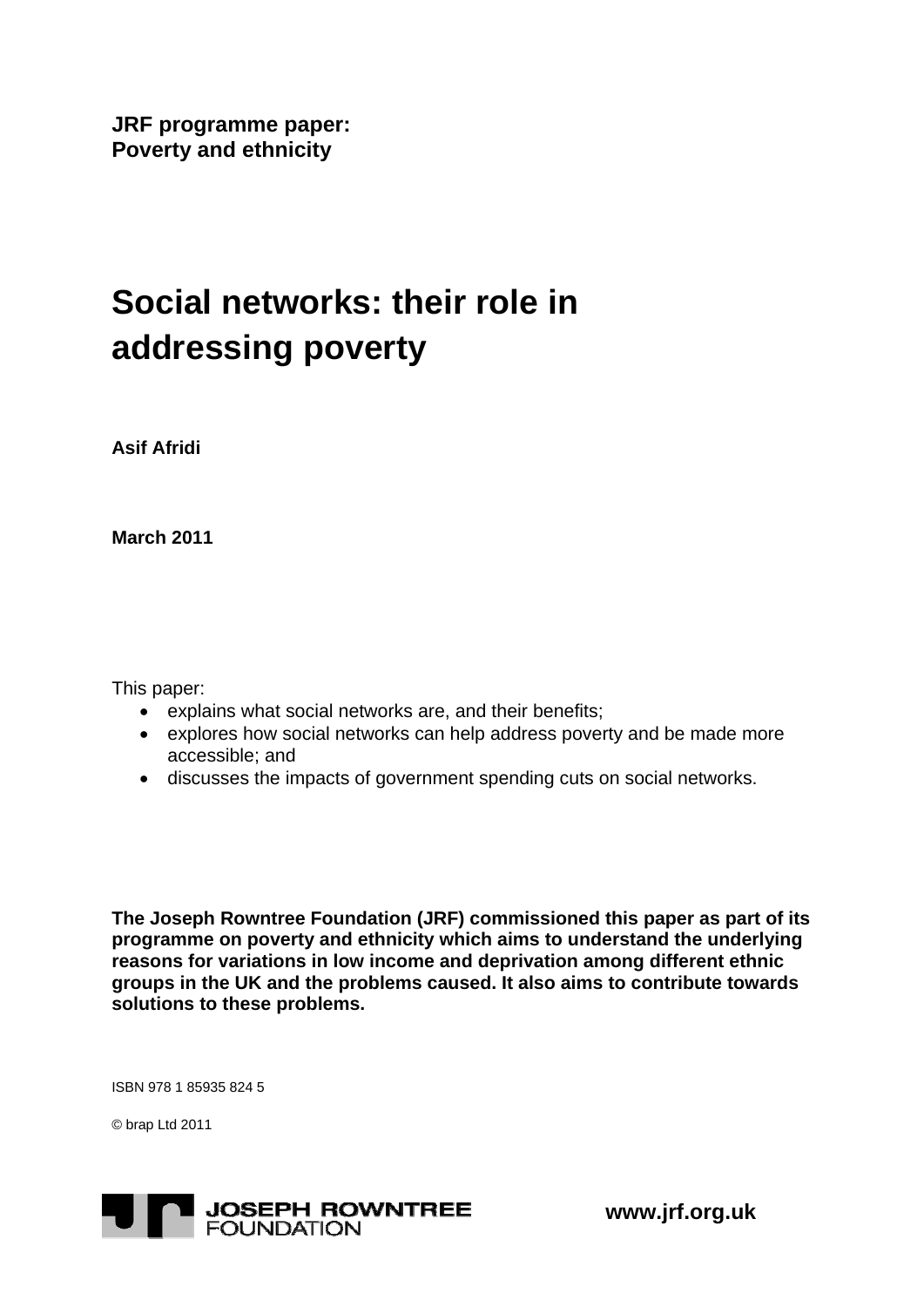**JRF programme paper: Poverty and ethnicity** 

# **Social networks: their role in addressing poverty**

**Asif Afridi** 

**March 2011** 

This paper:

- explains what social networks are, and their benefits;
- explores how social networks can help address poverty and be made more accessible; and
- discusses the impacts of government spending cuts on social networks.

**The Joseph Rowntree Foundation (JRF) commissioned this paper as part of its programme on poverty and ethnicity which aims to understand the underlying reasons for variations in low income and deprivation among different ethnic groups in the UK and the problems caused. It also aims to contribute towards solutions to these problems.** 

ISBN 978 1 85935 824 5

© brap Ltd 2011



 **www.jrf.org.uk**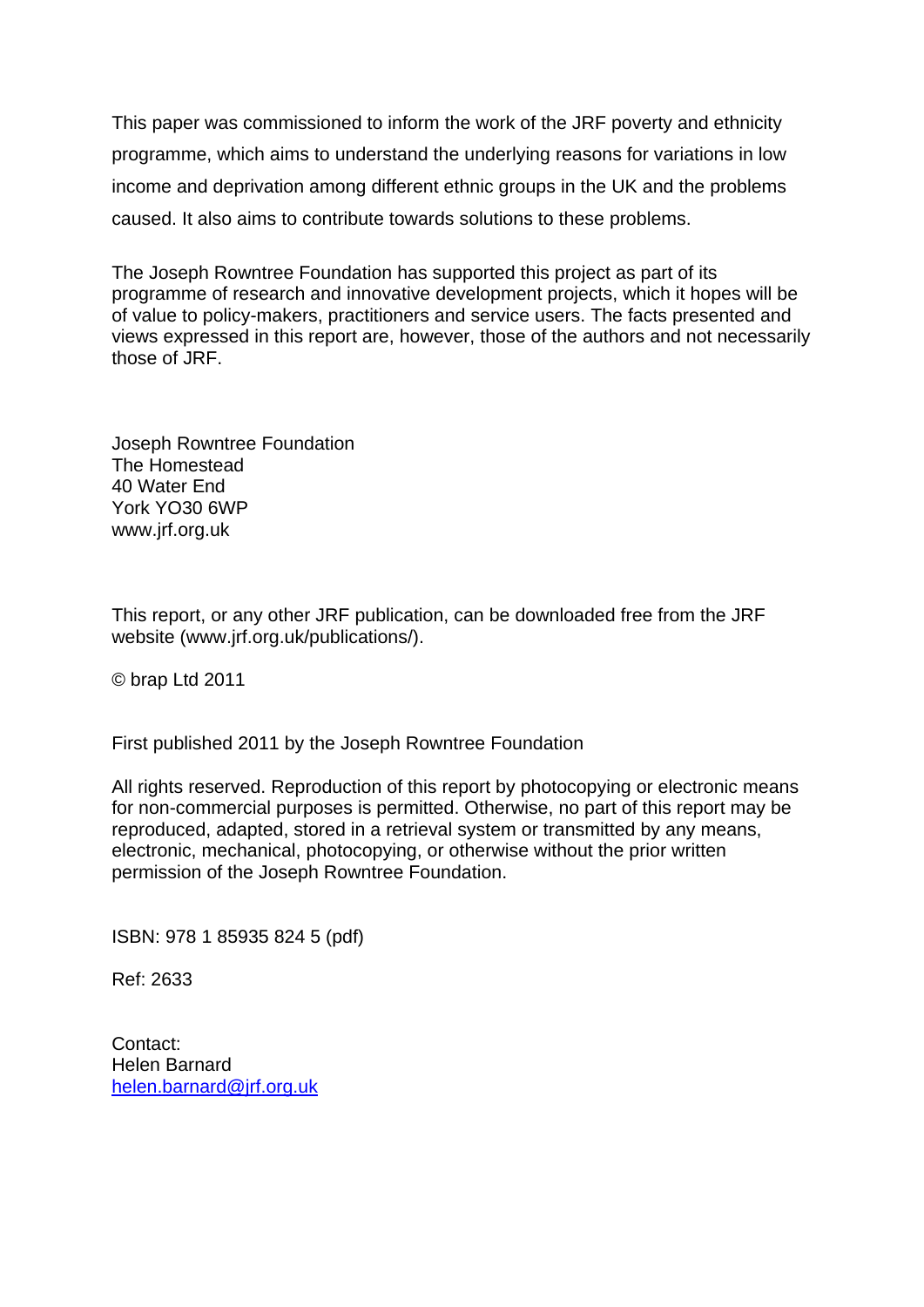This paper was commissioned to inform the work of the JRF poverty and ethnicity programme, which aims to understand the underlying reasons for variations in low income and deprivation among different ethnic groups in the UK and the problems caused. It also aims to contribute towards solutions to these problems.

The Joseph Rowntree Foundation has supported this project as part of its programme of research and innovative development projects, which it hopes will be of value to policy-makers, practitioners and service users. The facts presented and views expressed in this report are, however, those of the authors and not necessarily those of JRF.

Joseph Rowntree Foundation The Homestead 40 Water End York YO30 6WP www.jrf.org.uk

This report, or any other JRF publication, can be downloaded free from the JRF website (www.jrf.org.uk/publications/).

© brap Ltd 2011

First published 2011 by the Joseph Rowntree Foundation

All rights reserved. Reproduction of this report by photocopying or electronic means for non-commercial purposes is permitted. Otherwise, no part of this report may be reproduced, adapted, stored in a retrieval system or transmitted by any means, electronic, mechanical, photocopying, or otherwise without the prior written permission of the Joseph Rowntree Foundation.

ISBN: 978 1 85935 824 5 (pdf)

Ref: 2633

Contact: Helen Barnard [helen.barnard@jrf.org.uk](mailto:helen.barnard@jrf.org.uk)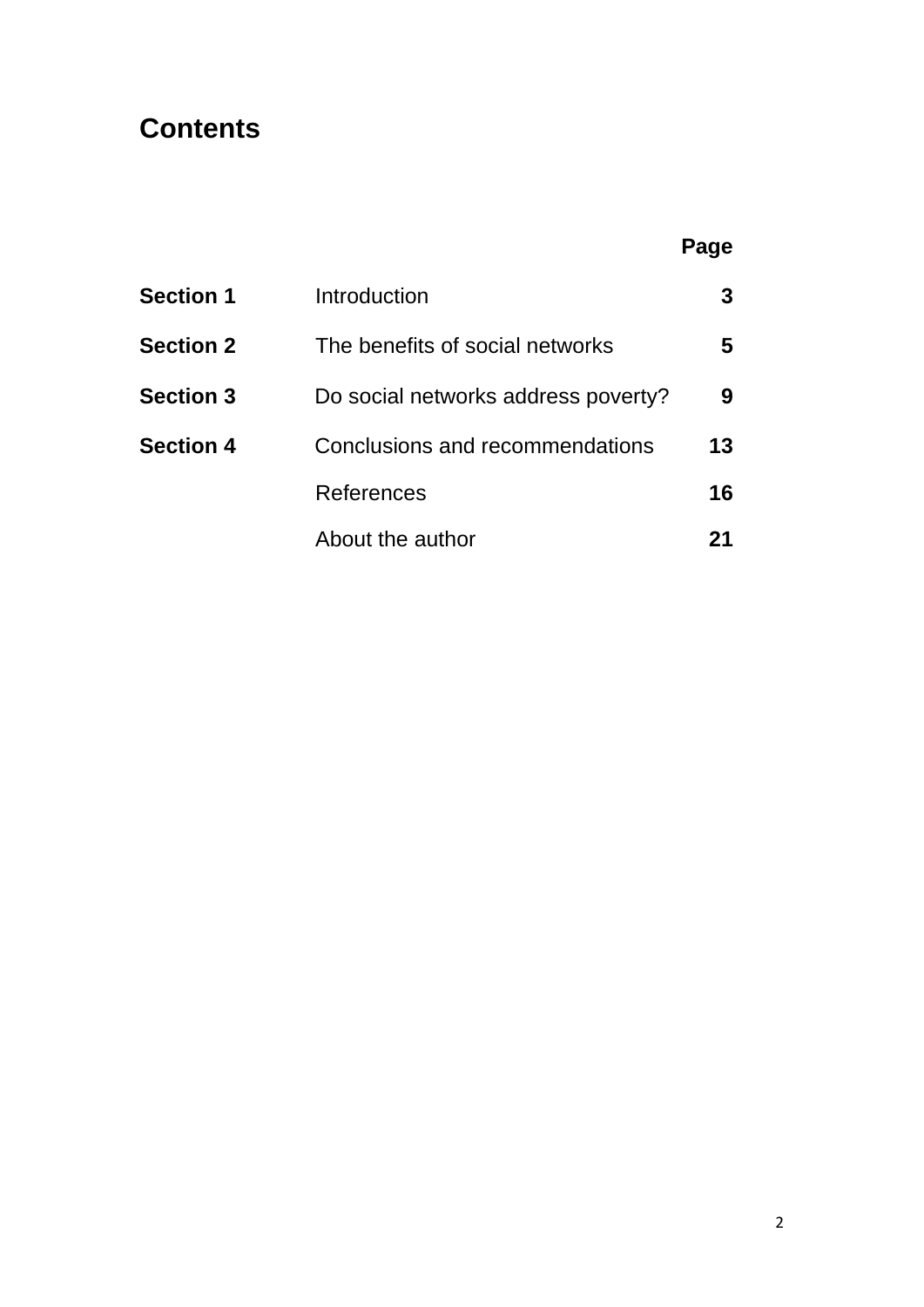# **Contents**

### **Page**

| <b>Section 1</b> | Introduction                        |    |
|------------------|-------------------------------------|----|
| <b>Section 2</b> | The benefits of social networks     | 5  |
| <b>Section 3</b> | Do social networks address poverty? | 9  |
| <b>Section 4</b> | Conclusions and recommendations     | 13 |
|                  | References                          | 16 |
|                  | About the author                    |    |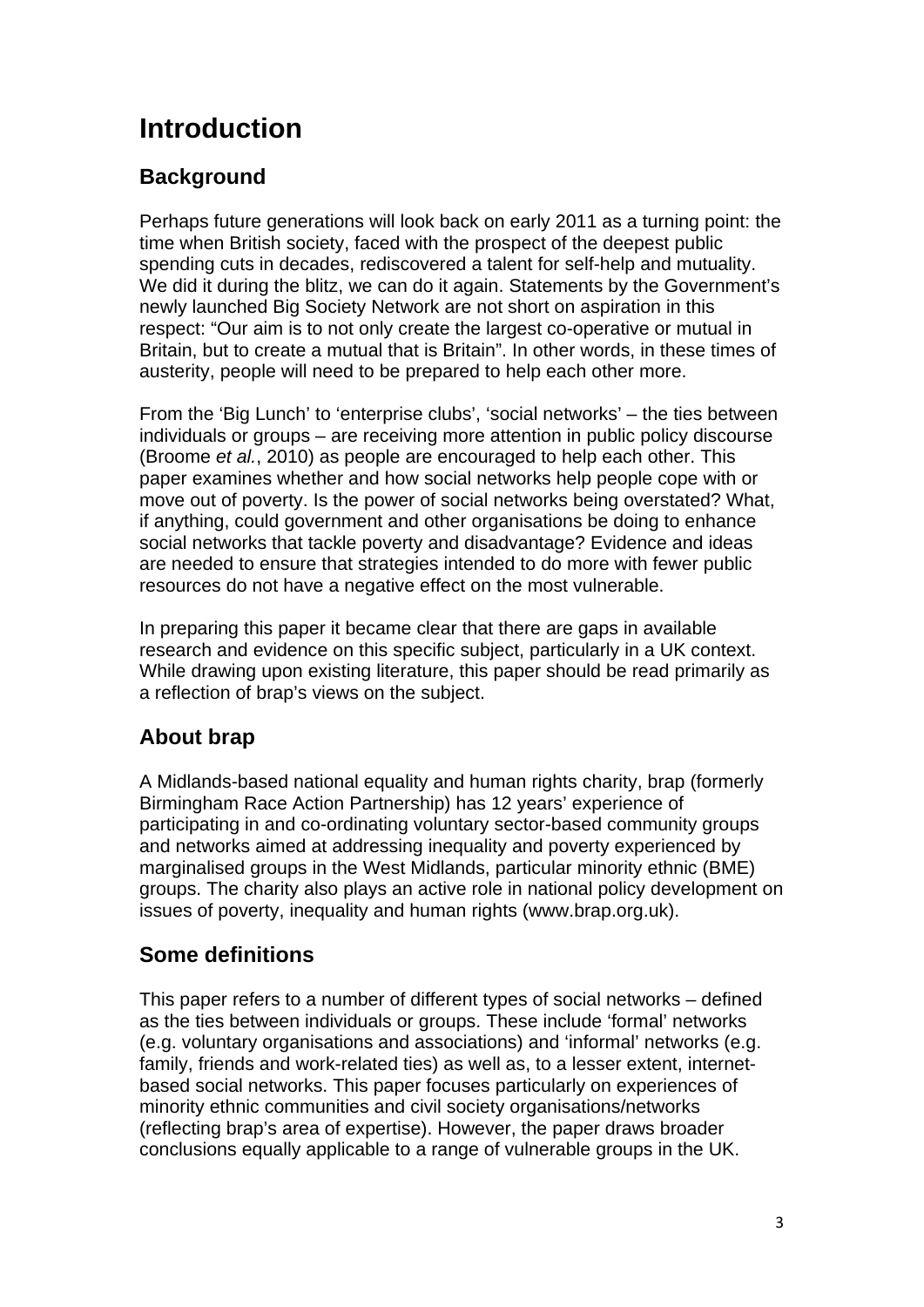# **Introduction**

#### **Background**

Perhaps future generations will look back on early 2011 as a turning point: the time when British society, faced with the prospect of the deepest public spending cuts in decades, rediscovered a talent for self-help and mutuality. We did it during the blitz, we can do it again. Statements by the Government's newly launched Big Society Network are not short on aspiration in this respect: "Our aim is to not only create the largest co-operative or mutual in Britain, but to create a mutual that is Britain". In other words, in these times of austerity, people will need to be prepared to help each other more.

From the 'Big Lunch' to 'enterprise clubs', 'social networks' – the ties between individuals or groups – are receiving more attention in public policy discourse (Broome *et al.*, 2010) as people are encouraged to help each other. This paper examines whether and how social networks help people cope with or move out of poverty. Is the power of social networks being overstated? What, if anything, could government and other organisations be doing to enhance social networks that tackle poverty and disadvantage? Evidence and ideas are needed to ensure that strategies intended to do more with fewer public resources do not have a negative effect on the most vulnerable.

In preparing this paper it became clear that there are gaps in available research and evidence on this specific subject, particularly in a UK context. While drawing upon existing literature, this paper should be read primarily as a reflection of brap's views on the subject.

#### **About brap**

A Midlands-based national equality and human rights charity, brap (formerly Birmingham Race Action Partnership) has 12 years' experience of participating in and co-ordinating voluntary sector-based community groups and networks aimed at addressing inequality and poverty experienced by marginalised groups in the West Midlands, particular minority ethnic (BME) groups. The charity also plays an active role in national policy development on issues of poverty, inequality and human rights (www.brap.org.uk).

#### **Some definitions**

This paper refers to a number of different types of social networks – defined as the ties between individuals or groups. These include 'formal' networks (e.g. voluntary organisations and associations) and 'informal' networks (e.g. family, friends and work-related ties) as well as, to a lesser extent, internetbased social networks. This paper focuses particularly on experiences of minority ethnic communities and civil society organisations/networks (reflecting brap's area of expertise). However, the paper draws broader conclusions equally applicable to a range of vulnerable groups in the UK.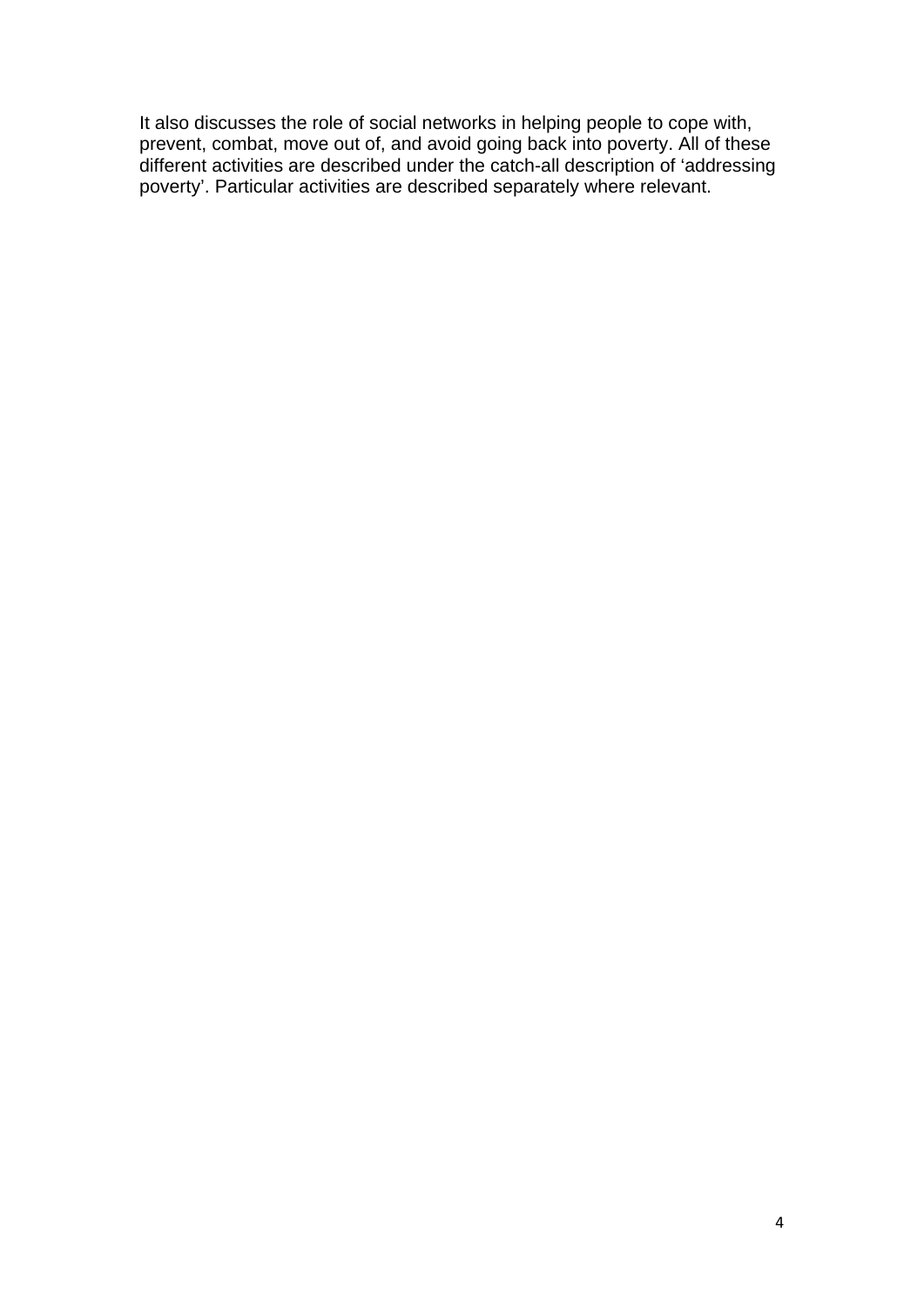It also discusses the role of social networks in helping people to cope with, prevent, combat, move out of, and avoid going back into poverty. All of these different activities are described under the catch-all description of 'addressing poverty'. Particular activities are described separately where relevant.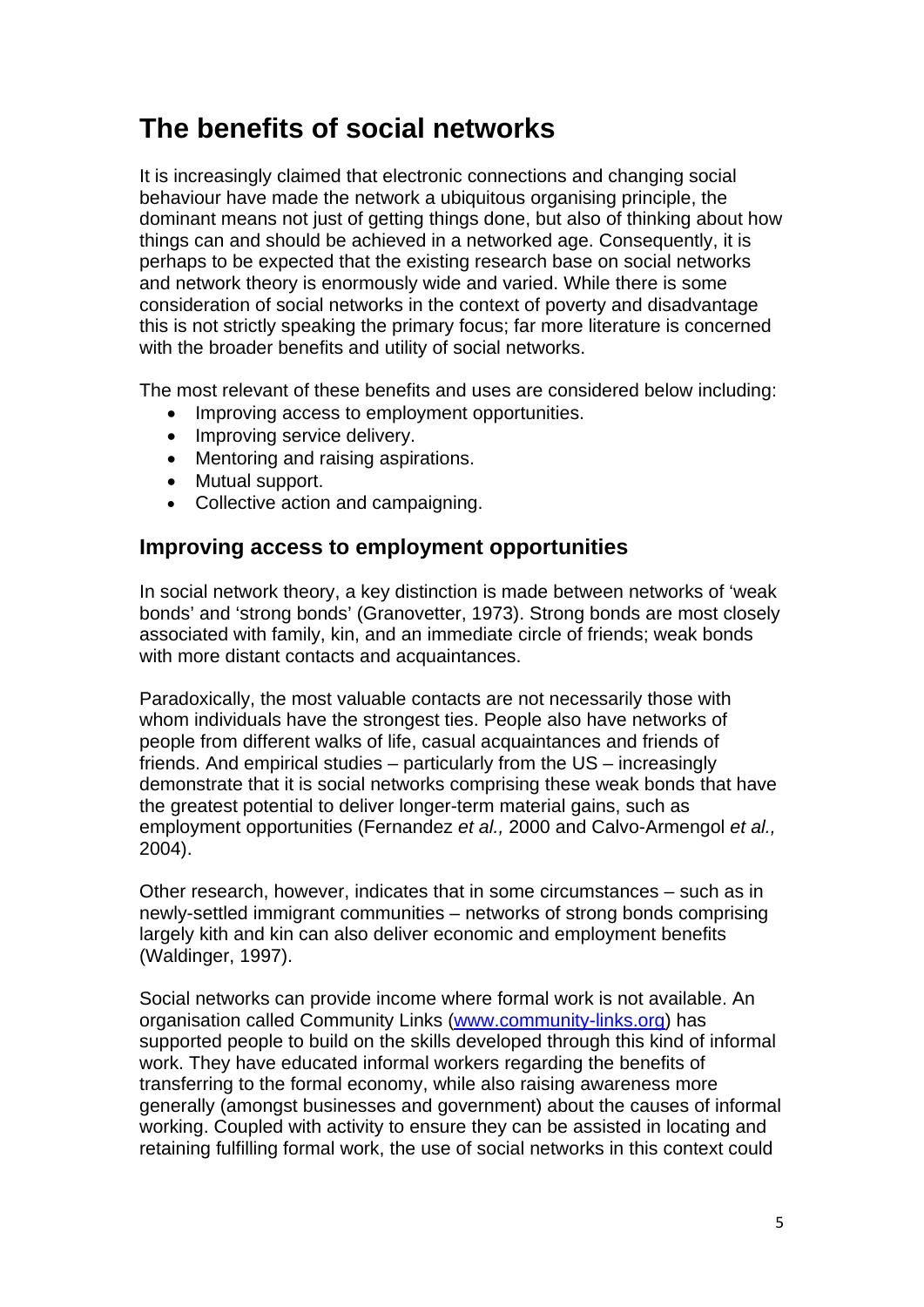## **The benefits of social networks**

It is increasingly claimed that electronic connections and changing social behaviour have made the network a ubiquitous organising principle, the dominant means not just of getting things done, but also of thinking about how things can and should be achieved in a networked age. Consequently, it is perhaps to be expected that the existing research base on social networks and network theory is enormously wide and varied. While there is some consideration of social networks in the context of poverty and disadvantage this is not strictly speaking the primary focus; far more literature is concerned with the broader benefits and utility of social networks.

The most relevant of these benefits and uses are considered below including:

- Improving access to employment opportunities.
- Improving service delivery.
- Mentoring and raising aspirations.
- Mutual support.
- Collective action and campaigning.

#### **Improving access to employment opportunities**

In social network theory, a key distinction is made between networks of 'weak bonds' and 'strong bonds' (Granovetter, 1973). Strong bonds are most closely associated with family, kin, and an immediate circle of friends; weak bonds with more distant contacts and acquaintances.

Paradoxically, the most valuable contacts are not necessarily those with whom individuals have the strongest ties. People also have networks of people from different walks of life, casual acquaintances and friends of friends. And empirical studies – particularly from the US – increasingly demonstrate that it is social networks comprising these weak bonds that have the greatest potential to deliver longer-term material gains, such as employment opportunities (Fernandez *et al.,* 2000 and Calvo-Armengol *et al.,* 2004).

Other research, however, indicates that in some circumstances – such as in newly-settled immigrant communities – networks of strong bonds comprising largely kith and kin can also deliver economic and employment benefits (Waldinger, 1997).

Social networks can provide income where formal work is not available. An organisation called Community Links ([www.community-links.org\)](http://www.community-links.org/) has supported people to build on the skills developed through this kind of informal work. They have educated informal workers regarding the benefits of transferring to the formal economy, while also raising awareness more generally (amongst businesses and government) about the causes of informal working. Coupled with activity to ensure they can be assisted in locating and retaining fulfilling formal work, the use of social networks in this context could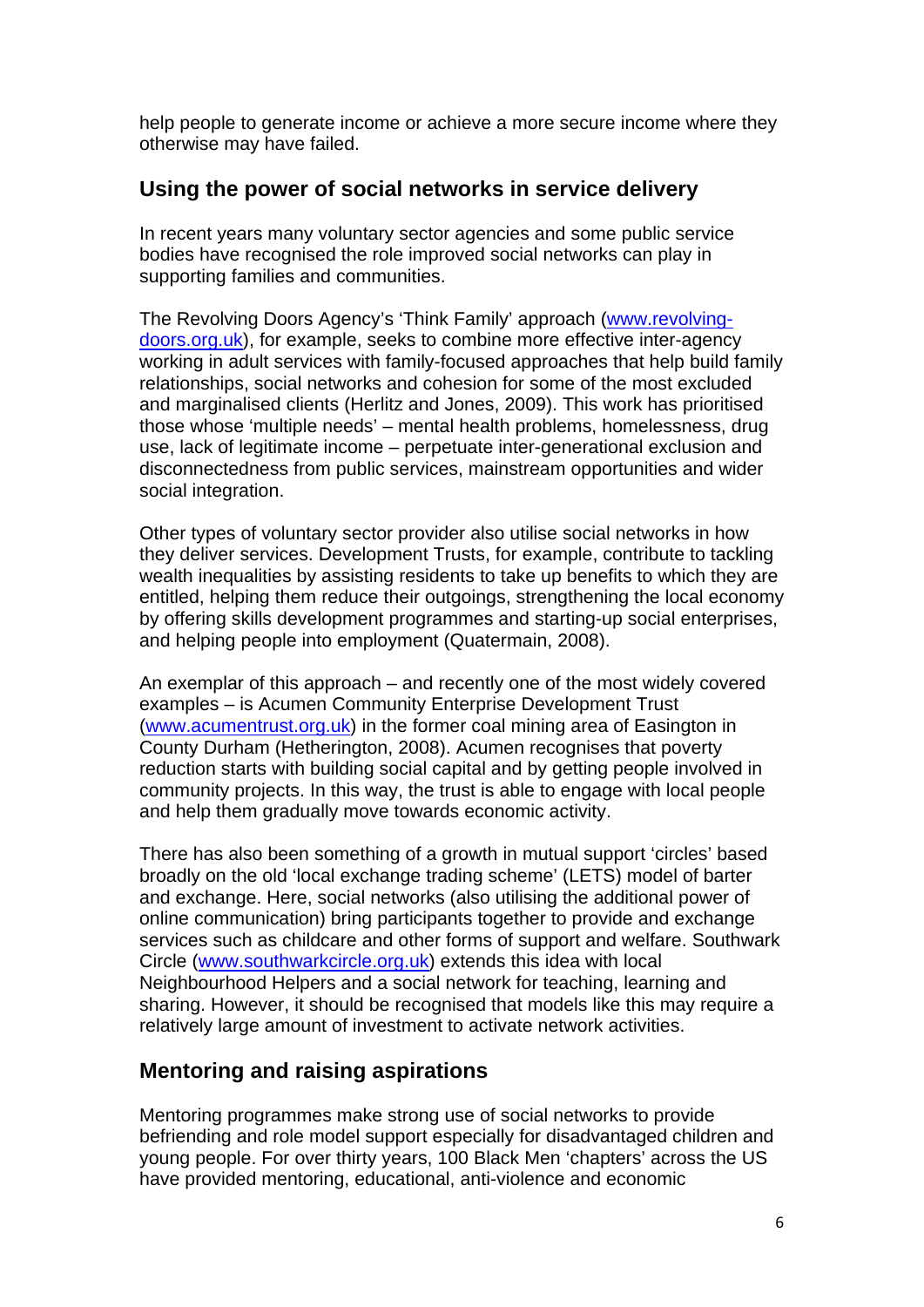help people to generate income or achieve a more secure income where they otherwise may have failed.

#### **Using the power of social networks in service delivery**

In recent years many voluntary sector agencies and some public service bodies have recognised the role improved social networks can play in supporting families and communities.

The Revolving Doors Agency's 'Think Family' approach [\(www.revolving](http://www.revolving-doors.org.uk/)[doors.org.uk\)](http://www.revolving-doors.org.uk/), for example, seeks to combine more effective inter-agency working in adult services with family-focused approaches that help build family relationships, social networks and cohesion for some of the most excluded and marginalised clients (Herlitz and Jones, 2009). This work has prioritised those whose 'multiple needs' – mental health problems, homelessness, drug use, lack of legitimate income – perpetuate inter-generational exclusion and disconnectedness from public services, mainstream opportunities and wider social integration.

Other types of voluntary sector provider also utilise social networks in how they deliver services. Development Trusts, for example, contribute to tackling wealth inequalities by assisting residents to take up benefits to which they are entitled, helping them reduce their outgoings, strengthening the local economy by offering skills development programmes and starting-up social enterprises, and helping people into employment (Quatermain, 2008).

An exemplar of this approach – and recently one of the most widely covered examples – is Acumen Community Enterprise Development Trust ([www.acumentrust.org.uk\)](http://www.acumentrust.org.uk/) in the former coal mining area of Easington in County Durham (Hetherington, 2008). Acumen recognises that poverty reduction starts with building social capital and by getting people involved in community projects. In this way, the trust is able to engage with local people and help them gradually move towards economic activity.

There has also been something of a growth in mutual support 'circles' based broadly on the old 'local exchange trading scheme' (LETS) model of barter and exchange. Here, social networks (also utilising the additional power of online communication) bring participants together to provide and exchange services such as childcare and other forms of support and welfare. Southwark Circle ([www.southwarkcircle.org.uk\)](http://www.southwarkcircle.org.uk/) extends this idea with local Neighbourhood Helpers and a social network for teaching, learning and sharing. However, it should be recognised that models like this may require a relatively large amount of investment to activate network activities.

#### **Mentoring and raising aspirations**

Mentoring programmes make strong use of social networks to provide befriending and role model support especially for disadvantaged children and young people. For over thirty years, 100 Black Men 'chapters' across the US have provided mentoring, educational, anti-violence and economic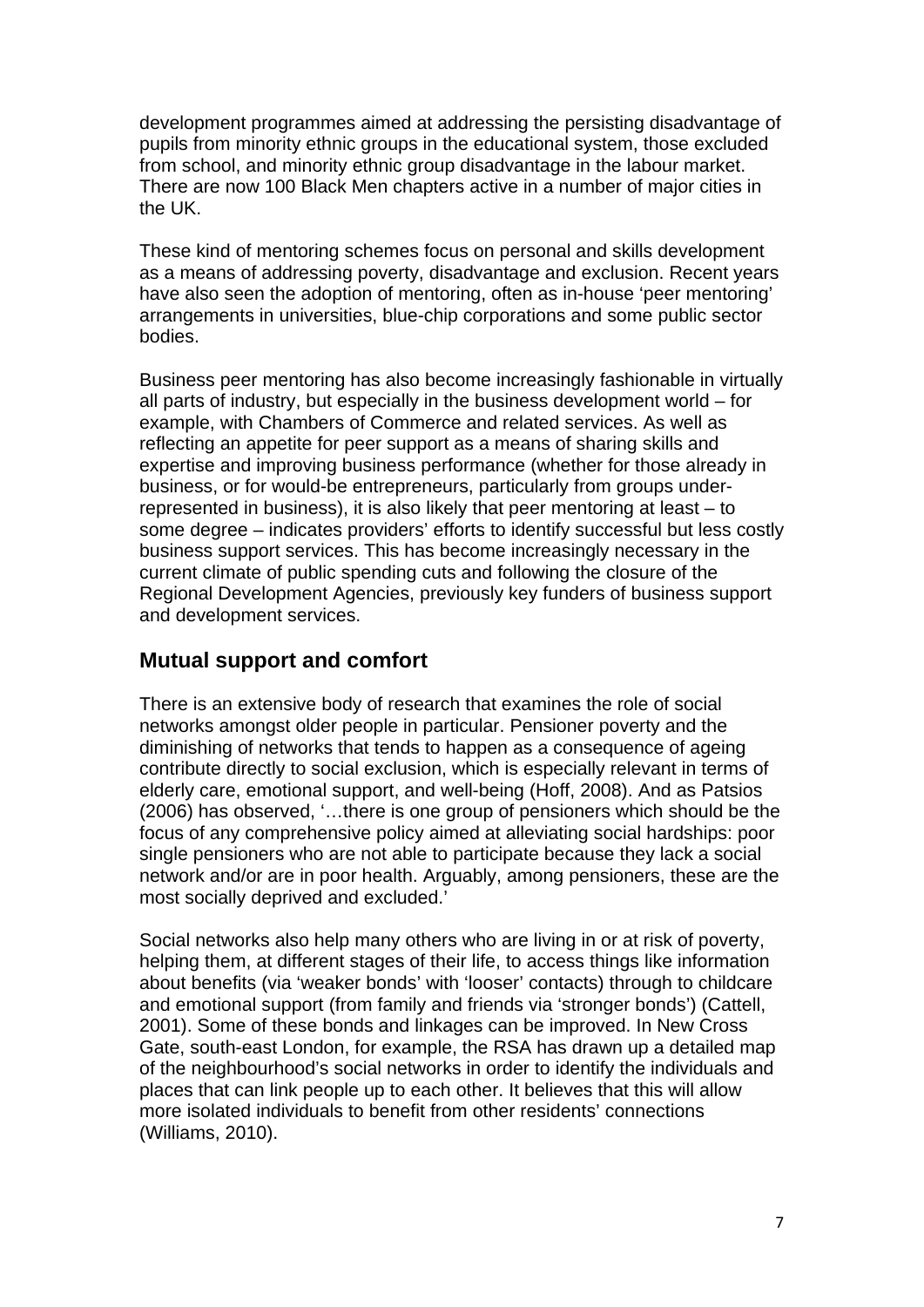development programmes aimed at addressing the persisting disadvantage of pupils from minority ethnic groups in the educational system, those excluded from school, and minority ethnic group disadvantage in the labour market. There are now 100 Black Men chapters active in a number of major cities in the UK.

These kind of mentoring schemes focus on personal and skills development as a means of addressing poverty, disadvantage and exclusion. Recent years have also seen the adoption of mentoring, often as in-house 'peer mentoring' arrangements in universities, blue-chip corporations and some public sector bodies.

Business peer mentoring has also become increasingly fashionable in virtually all parts of industry, but especially in the business development world – for example, with Chambers of Commerce and related services. As well as reflecting an appetite for peer support as a means of sharing skills and expertise and improving business performance (whether for those already in business, or for would-be entrepreneurs, particularly from groups underrepresented in business), it is also likely that peer mentoring at least – to some degree – indicates providers' efforts to identify successful but less costly business support services. This has become increasingly necessary in the current climate of public spending cuts and following the closure of the Regional Development Agencies, previously key funders of business support and development services.

#### **Mutual support and comfort**

There is an extensive body of research that examines the role of social networks amongst older people in particular. Pensioner poverty and the diminishing of networks that tends to happen as a consequence of ageing contribute directly to social exclusion, which is especially relevant in terms of elderly care, emotional support, and well-being (Hoff, 2008). And as Patsios (2006) has observed, '…there is one group of pensioners which should be the focus of any comprehensive policy aimed at alleviating social hardships: poor single pensioners who are not able to participate because they lack a social network and/or are in poor health. Arguably, among pensioners, these are the most socially deprived and excluded.'

Social networks also help many others who are living in or at risk of poverty, helping them, at different stages of their life, to access things like information about benefits (via 'weaker bonds' with 'looser' contacts) through to childcare and emotional support (from family and friends via 'stronger bonds') (Cattell, 2001). Some of these bonds and linkages can be improved. In New Cross Gate, south-east London, for example, the RSA has drawn up a detailed map of the neighbourhood's social networks in order to identify the individuals and places that can link people up to each other. It believes that this will allow more isolated individuals to benefit from other residents' connections (Williams, 2010).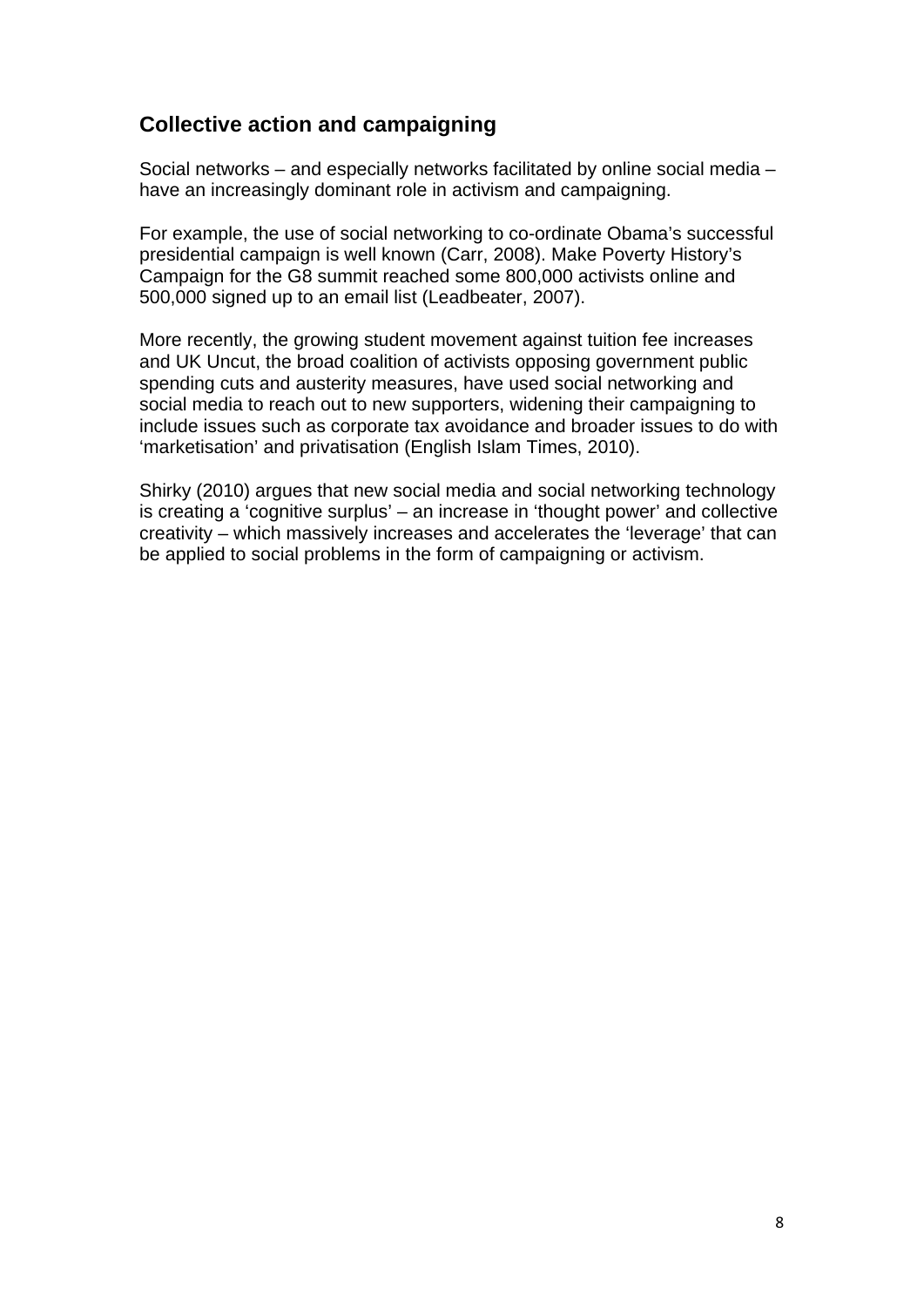#### **Collective action and campaigning**

Social networks – and especially networks facilitated by online social media – have an increasingly dominant role in activism and campaigning.

For example, the use of social networking to co-ordinate Obama's successful presidential campaign is well known (Carr, 2008). Make Poverty History's Campaign for the G8 summit reached some 800,000 activists online and 500,000 signed up to an email list (Leadbeater, 2007).

More recently, the growing student movement against tuition fee increases and UK Uncut, the broad coalition of activists opposing government public spending cuts and austerity measures, have used social networking and social media to reach out to new supporters, widening their campaigning to include issues such as corporate tax avoidance and broader issues to do with 'marketisation' and privatisation (English Islam Times, 2010).

Shirky (2010) argues that new social media and social networking technology is creating a 'cognitive surplus' – an increase in 'thought power' and collective creativity – which massively increases and accelerates the 'leverage' that can be applied to social problems in the form of campaigning or activism.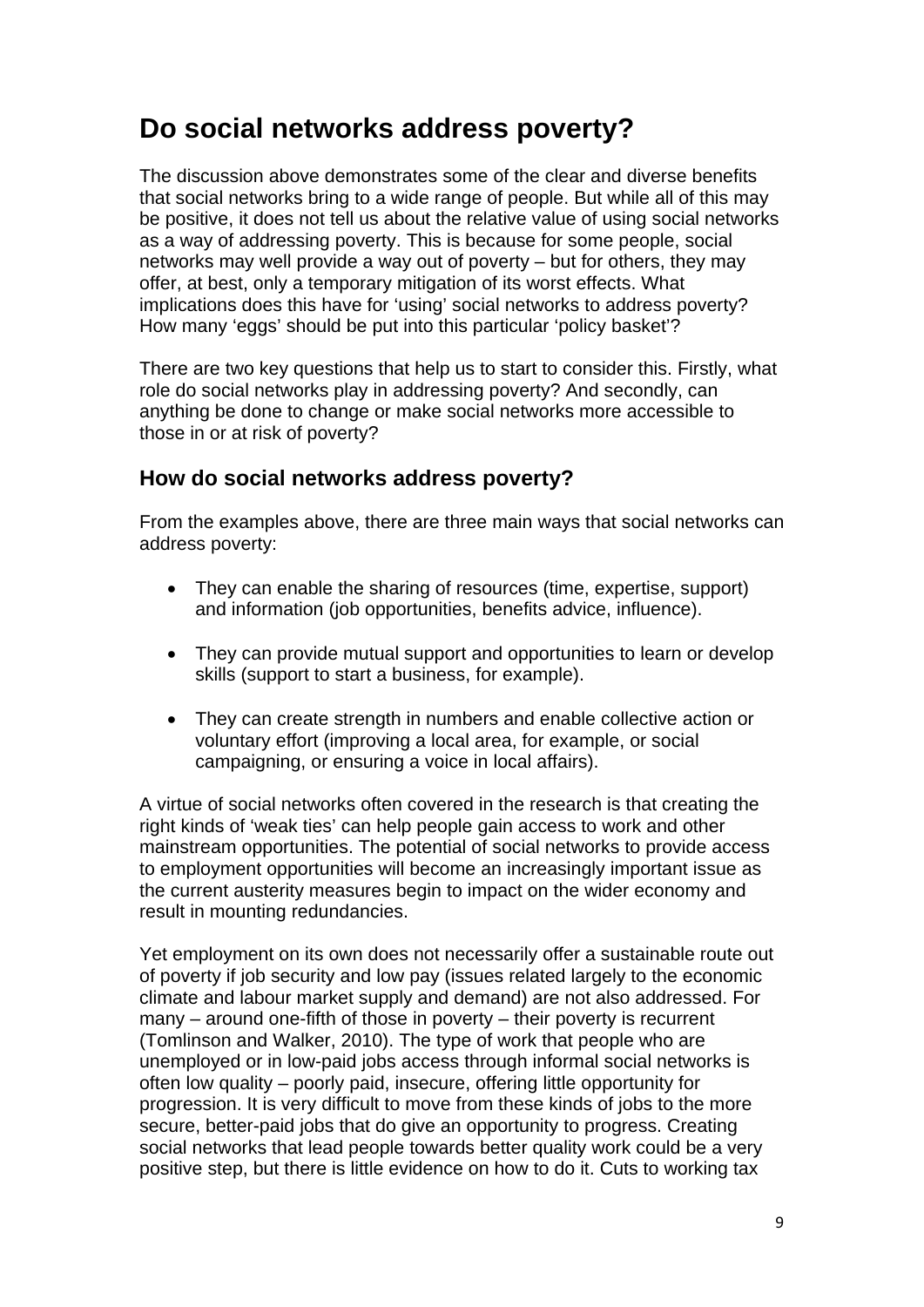### **Do social networks address poverty?**

The discussion above demonstrates some of the clear and diverse benefits that social networks bring to a wide range of people. But while all of this may be positive, it does not tell us about the relative value of using social networks as a way of addressing poverty. This is because for some people, social networks may well provide a way out of poverty – but for others, they may offer, at best, only a temporary mitigation of its worst effects. What implications does this have for 'using' social networks to address poverty? How many 'eggs' should be put into this particular 'policy basket'?

There are two key questions that help us to start to consider this. Firstly, what role do social networks play in addressing poverty? And secondly, can anything be done to change or make social networks more accessible to those in or at risk of poverty?

#### **How do social networks address poverty?**

From the examples above, there are three main ways that social networks can address poverty:

- They can enable the sharing of resources (time, expertise, support) and information (job opportunities, benefits advice, influence).
- They can provide mutual support and opportunities to learn or develop skills (support to start a business, for example).
- They can create strength in numbers and enable collective action or voluntary effort (improving a local area, for example, or social campaigning, or ensuring a voice in local affairs).

A virtue of social networks often covered in the research is that creating the right kinds of 'weak ties' can help people gain access to work and other mainstream opportunities. The potential of social networks to provide access to employment opportunities will become an increasingly important issue as the current austerity measures begin to impact on the wider economy and result in mounting redundancies.

Yet employment on its own does not necessarily offer a sustainable route out of poverty if job security and low pay (issues related largely to the economic climate and labour market supply and demand) are not also addressed. For many – around one-fifth of those in poverty – their poverty is recurrent (Tomlinson and Walker, 2010). The type of work that people who are unemployed or in low-paid jobs access through informal social networks is often low quality – poorly paid, insecure, offering little opportunity for progression. It is very difficult to move from these kinds of jobs to the more secure, better-paid jobs that do give an opportunity to progress. Creating social networks that lead people towards better quality work could be a very positive step, but there is little evidence on how to do it. Cuts to working tax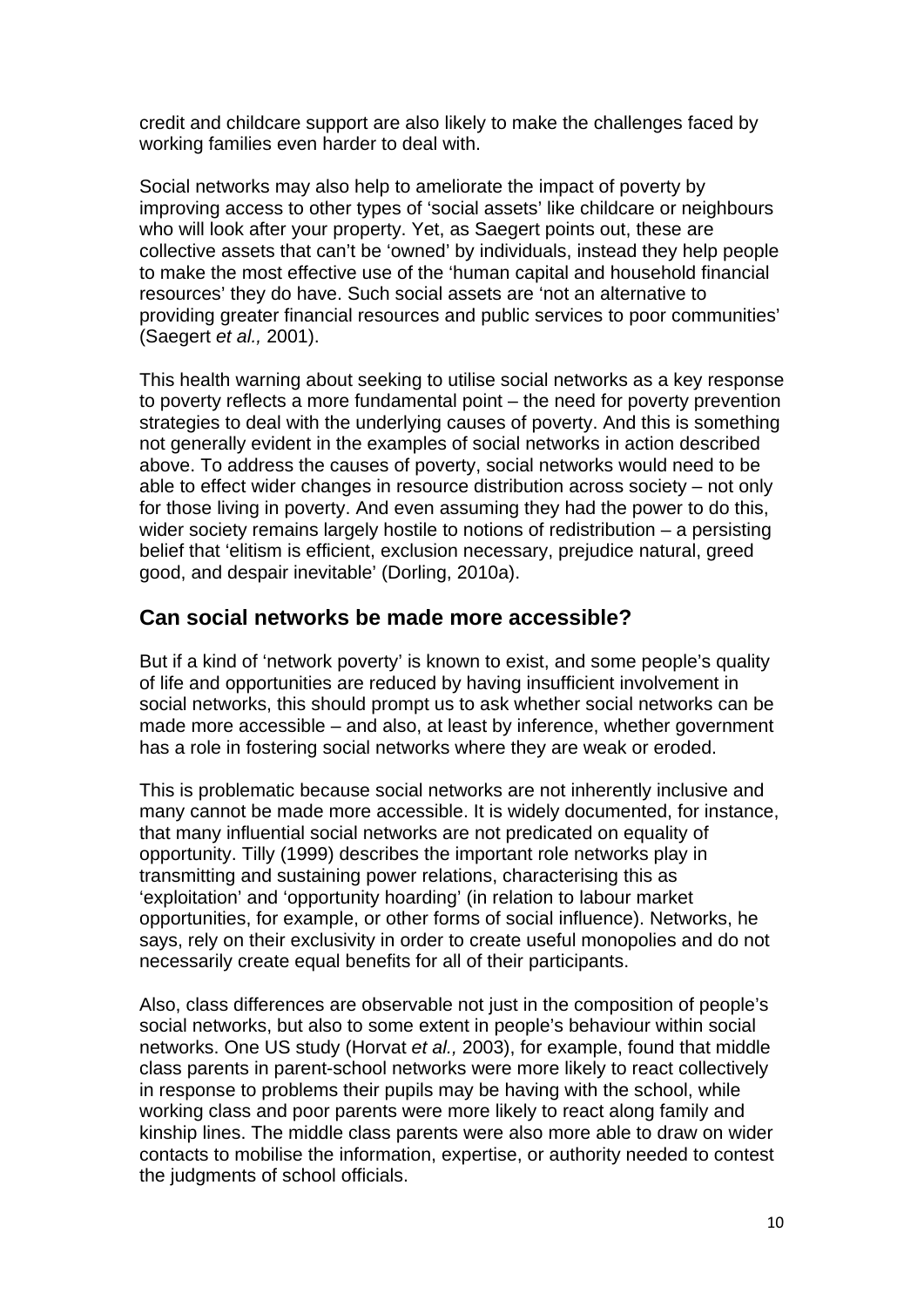credit and childcare support are also likely to make the challenges faced by working families even harder to deal with.

Social networks may also help to ameliorate the impact of poverty by improving access to other types of 'social assets' like childcare or neighbours who will look after your property. Yet, as Saegert points out, these are collective assets that can't be 'owned' by individuals, instead they help people to make the most effective use of the 'human capital and household financial resources' they do have. Such social assets are 'not an alternative to providing greater financial resources and public services to poor communities' (Saegert *et al.,* 2001).

This health warning about seeking to utilise social networks as a key response to poverty reflects a more fundamental point – the need for poverty prevention strategies to deal with the underlying causes of poverty. And this is something not generally evident in the examples of social networks in action described above. To address the causes of poverty, social networks would need to be able to effect wider changes in resource distribution across society – not only for those living in poverty. And even assuming they had the power to do this, wider society remains largely hostile to notions of redistribution – a persisting belief that 'elitism is efficient, exclusion necessary, prejudice natural, greed good, and despair inevitable' (Dorling, 2010a).

#### **Can social networks be made more accessible?**

But if a kind of 'network poverty' is known to exist, and some people's quality of life and opportunities are reduced by having insufficient involvement in social networks, this should prompt us to ask whether social networks can be made more accessible – and also, at least by inference, whether government has a role in fostering social networks where they are weak or eroded.

This is problematic because social networks are not inherently inclusive and many cannot be made more accessible. It is widely documented, for instance, that many influential social networks are not predicated on equality of opportunity. Tilly (1999) describes the important role networks play in transmitting and sustaining power relations, characterising this as 'exploitation' and 'opportunity hoarding' (in relation to labour market opportunities, for example, or other forms of social influence). Networks, he says, rely on their exclusivity in order to create useful monopolies and do not necessarily create equal benefits for all of their participants.

Also, class differences are observable not just in the composition of people's social networks, but also to some extent in people's behaviour within social networks. One US study (Horvat *et al.,* 2003), for example, found that middle class parents in parent-school networks were more likely to react collectively in response to problems their pupils may be having with the school, while working class and poor parents were more likely to react along family and kinship lines. The middle class parents were also more able to draw on wider contacts to mobilise the information, expertise, or authority needed to contest the judgments of school officials.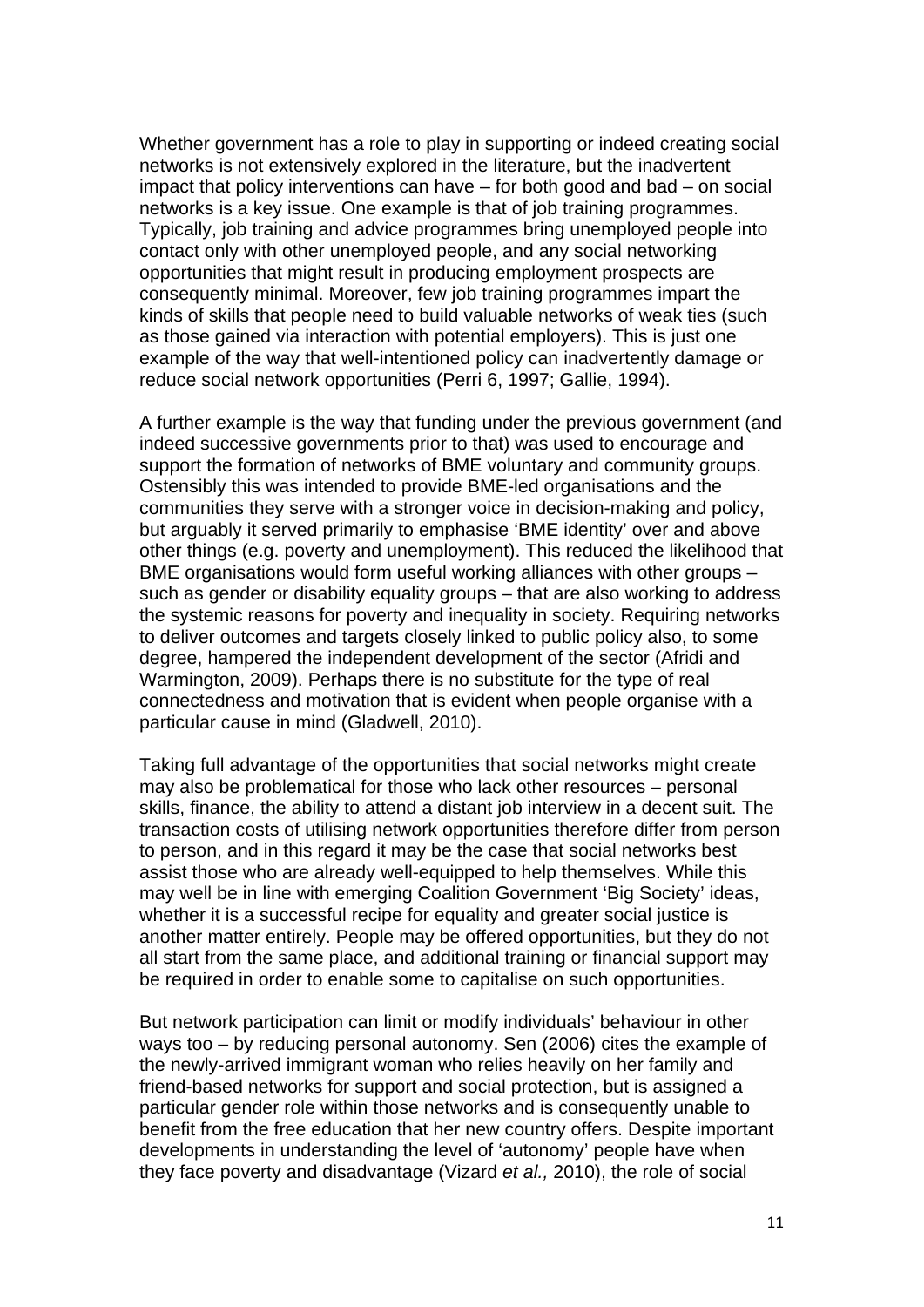Whether government has a role to play in supporting or indeed creating social networks is not extensively explored in the literature, but the inadvertent impact that policy interventions can have – for both good and bad – on social networks is a key issue. One example is that of job training programmes. Typically, job training and advice programmes bring unemployed people into contact only with other unemployed people, and any social networking opportunities that might result in producing employment prospects are consequently minimal. Moreover, few job training programmes impart the kinds of skills that people need to build valuable networks of weak ties (such as those gained via interaction with potential employers). This is just one example of the way that well-intentioned policy can inadvertently damage or reduce social network opportunities (Perri 6, 1997; Gallie, 1994).

A further example is the way that funding under the previous government (and indeed successive governments prior to that) was used to encourage and support the formation of networks of BME voluntary and community groups. Ostensibly this was intended to provide BME-led organisations and the communities they serve with a stronger voice in decision-making and policy, but arguably it served primarily to emphasise 'BME identity' over and above other things (e.g. poverty and unemployment). This reduced the likelihood that BME organisations would form useful working alliances with other groups – such as gender or disability equality groups – that are also working to address the systemic reasons for poverty and inequality in society. Requiring networks to deliver outcomes and targets closely linked to public policy also, to some degree, hampered the independent development of the sector (Afridi and Warmington, 2009). Perhaps there is no substitute for the type of real connectedness and motivation that is evident when people organise with a particular cause in mind (Gladwell, 2010).

Taking full advantage of the opportunities that social networks might create may also be problematical for those who lack other resources – personal skills, finance, the ability to attend a distant job interview in a decent suit. The transaction costs of utilising network opportunities therefore differ from person to person, and in this regard it may be the case that social networks best assist those who are already well-equipped to help themselves. While this may well be in line with emerging Coalition Government 'Big Society' ideas, whether it is a successful recipe for equality and greater social justice is another matter entirely. People may be offered opportunities, but they do not all start from the same place, and additional training or financial support may be required in order to enable some to capitalise on such opportunities.

But network participation can limit or modify individuals' behaviour in other ways too – by reducing personal autonomy. Sen (2006) cites the example of the newly-arrived immigrant woman who relies heavily on her family and friend-based networks for support and social protection, but is assigned a particular gender role within those networks and is consequently unable to benefit from the free education that her new country offers. Despite important developments in understanding the level of 'autonomy' people have when they face poverty and disadvantage (Vizard *et al.,* 2010), the role of social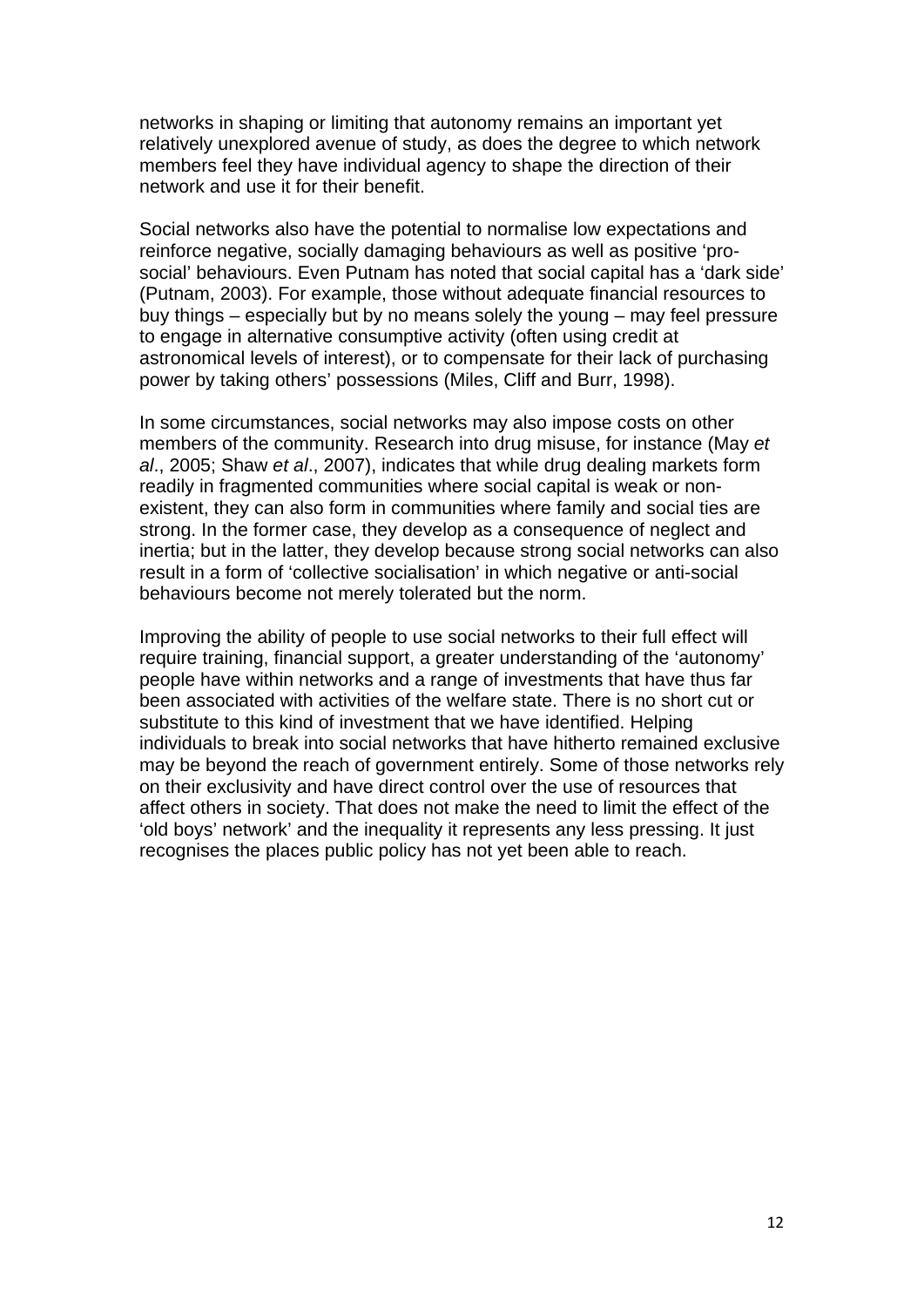networks in shaping or limiting that autonomy remains an important yet relatively unexplored avenue of study, as does the degree to which network members feel they have individual agency to shape the direction of their network and use it for their benefit.

Social networks also have the potential to normalise low expectations and reinforce negative, socially damaging behaviours as well as positive 'prosocial' behaviours. Even Putnam has noted that social capital has a 'dark side' (Putnam, 2003). For example, those without adequate financial resources to buy things – especially but by no means solely the young – may feel pressure to engage in alternative consumptive activity (often using credit at astronomical levels of interest), or to compensate for their lack of purchasing power by taking others' possessions (Miles, Cliff and Burr, 1998).

In some circumstances, social networks may also impose costs on other members of the community. Research into drug misuse, for instance (May *et al*., 2005; Shaw *et al*., 2007), indicates that while drug dealing markets form readily in fragmented communities where social capital is weak or nonexistent, they can also form in communities where family and social ties are strong. In the former case, they develop as a consequence of neglect and inertia; but in the latter, they develop because strong social networks can also result in a form of 'collective socialisation' in which negative or anti-social behaviours become not merely tolerated but the norm.

Improving the ability of people to use social networks to their full effect will require training, financial support, a greater understanding of the 'autonomy' people have within networks and a range of investments that have thus far been associated with activities of the welfare state. There is no short cut or substitute to this kind of investment that we have identified. Helping individuals to break into social networks that have hitherto remained exclusive may be beyond the reach of government entirely. Some of those networks rely on their exclusivity and have direct control over the use of resources that affect others in society. That does not make the need to limit the effect of the 'old boys' network' and the inequality it represents any less pressing. It just recognises the places public policy has not yet been able to reach.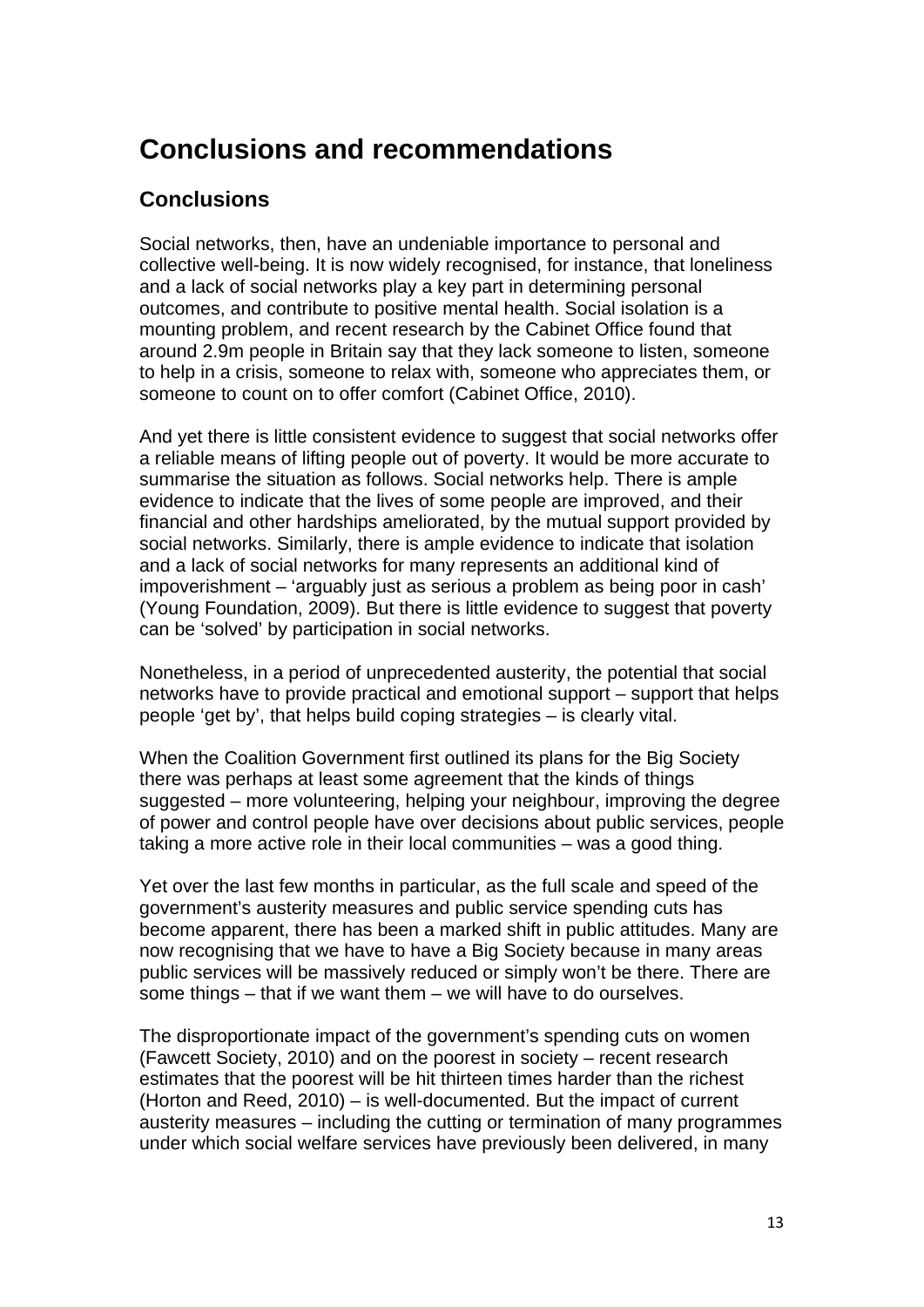### **Conclusions and recommendations**

#### **Conclusions**

Social networks, then, have an undeniable importance to personal and collective well-being. It is now widely recognised, for instance, that loneliness and a lack of social networks play a key part in determining personal outcomes, and contribute to positive mental health. Social isolation is a mounting problem, and recent research by the Cabinet Office found that around 2.9m people in Britain say that they lack someone to listen, someone to help in a crisis, someone to relax with, someone who appreciates them, or someone to count on to offer comfort (Cabinet Office, 2010).

And yet there is little consistent evidence to suggest that social networks offer a reliable means of lifting people out of poverty. It would be more accurate to summarise the situation as follows. Social networks help. There is ample evidence to indicate that the lives of some people are improved, and their financial and other hardships ameliorated, by the mutual support provided by social networks. Similarly, there is ample evidence to indicate that isolation and a lack of social networks for many represents an additional kind of impoverishment – 'arguably just as serious a problem as being poor in cash' (Young Foundation, 2009). But there is little evidence to suggest that poverty can be 'solved' by participation in social networks.

Nonetheless, in a period of unprecedented austerity, the potential that social networks have to provide practical and emotional support – support that helps people 'get by', that helps build coping strategies – is clearly vital.

When the Coalition Government first outlined its plans for the Big Society there was perhaps at least some agreement that the kinds of things suggested – more volunteering, helping your neighbour, improving the degree of power and control people have over decisions about public services, people taking a more active role in their local communities – was a good thing.

Yet over the last few months in particular, as the full scale and speed of the government's austerity measures and public service spending cuts has become apparent, there has been a marked shift in public attitudes. Many are now recognising that we have to have a Big Society because in many areas public services will be massively reduced or simply won't be there. There are some things – that if we want them – we will have to do ourselves.

The disproportionate impact of the government's spending cuts on women (Fawcett Society, 2010) and on the poorest in society – recent research estimates that the poorest will be hit thirteen times harder than the richest (Horton and Reed, 2010) – is well-documented. But the impact of current austerity measures – including the cutting or termination of many programmes under which social welfare services have previously been delivered, in many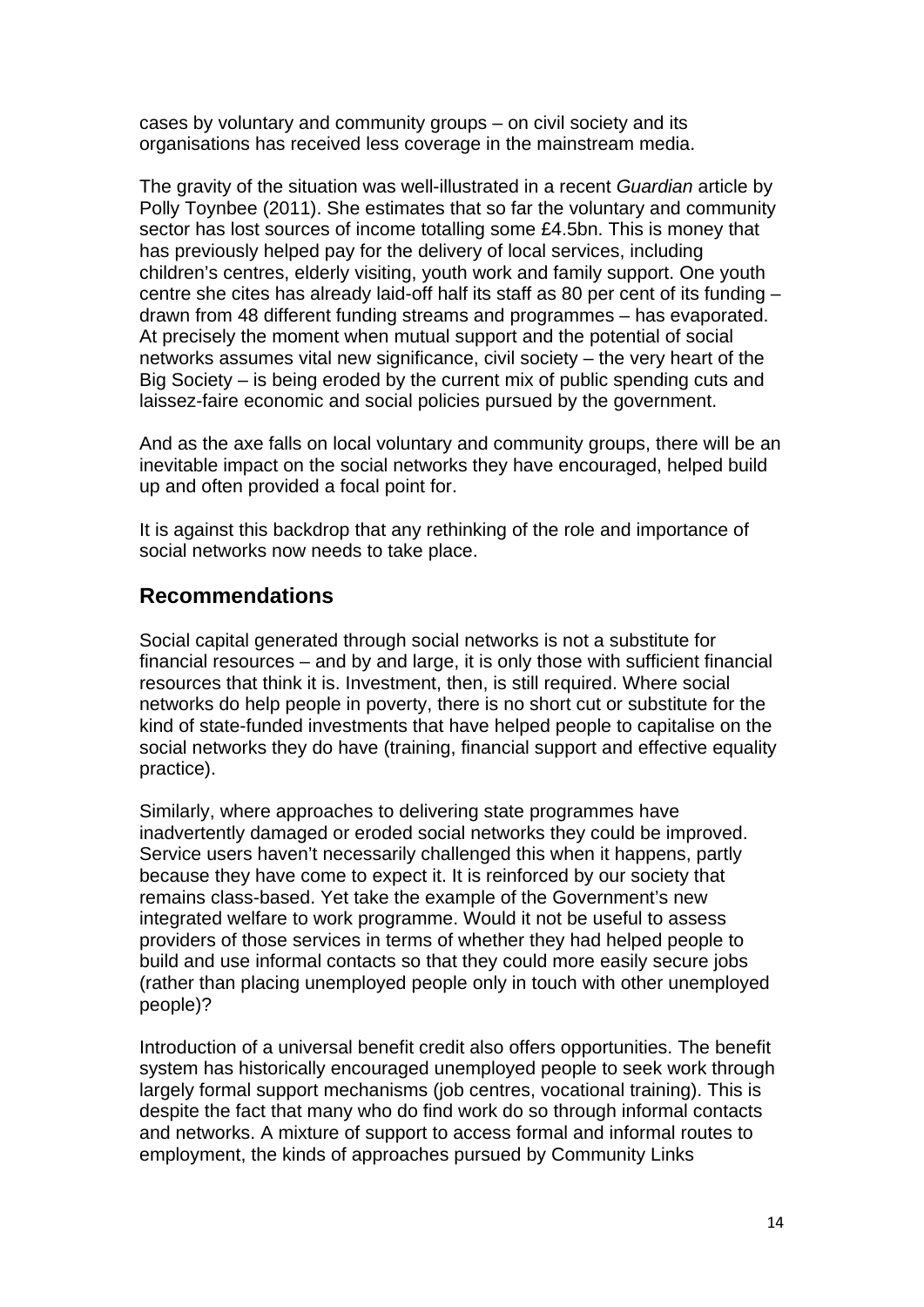cases by voluntary and community groups – on civil society and its organisations has received less coverage in the mainstream media.

The gravity of the situation was well-illustrated in a recent *Guardian* article by Polly Toynbee (2011). She estimates that so far the voluntary and community sector has lost sources of income totalling some £4.5bn. This is money that has previously helped pay for the delivery of local services, including children's centres, elderly visiting, youth work and family support. One youth centre she cites has already laid-off half its staff as 80 per cent of its funding – drawn from 48 different funding streams and programmes – has evaporated. At precisely the moment when mutual support and the potential of social networks assumes vital new significance, civil society – the very heart of the Big Society – is being eroded by the current mix of public spending cuts and laissez-faire economic and social policies pursued by the government.

And as the axe falls on local voluntary and community groups, there will be an inevitable impact on the social networks they have encouraged, helped build up and often provided a focal point for.

It is against this backdrop that any rethinking of the role and importance of social networks now needs to take place.

#### **Recommendations**

Social capital generated through social networks is not a substitute for financial resources – and by and large, it is only those with sufficient financial resources that think it is. Investment, then, is still required. Where social networks do help people in poverty, there is no short cut or substitute for the kind of state-funded investments that have helped people to capitalise on the social networks they do have (training, financial support and effective equality practice).

Similarly, where approaches to delivering state programmes have inadvertently damaged or eroded social networks they could be improved. Service users haven't necessarily challenged this when it happens, partly because they have come to expect it. It is reinforced by our society that remains class-based. Yet take the example of the Government's new integrated welfare to work programme. Would it not be useful to assess providers of those services in terms of whether they had helped people to build and use informal contacts so that they could more easily secure jobs (rather than placing unemployed people only in touch with other unemployed people)?

Introduction of a universal benefit credit also offers opportunities. The benefit system has historically encouraged unemployed people to seek work through largely formal support mechanisms (job centres, vocational training). This is despite the fact that many who do find work do so through informal contacts and networks. A mixture of support to access formal and informal routes to employment, the kinds of approaches pursued by Community Links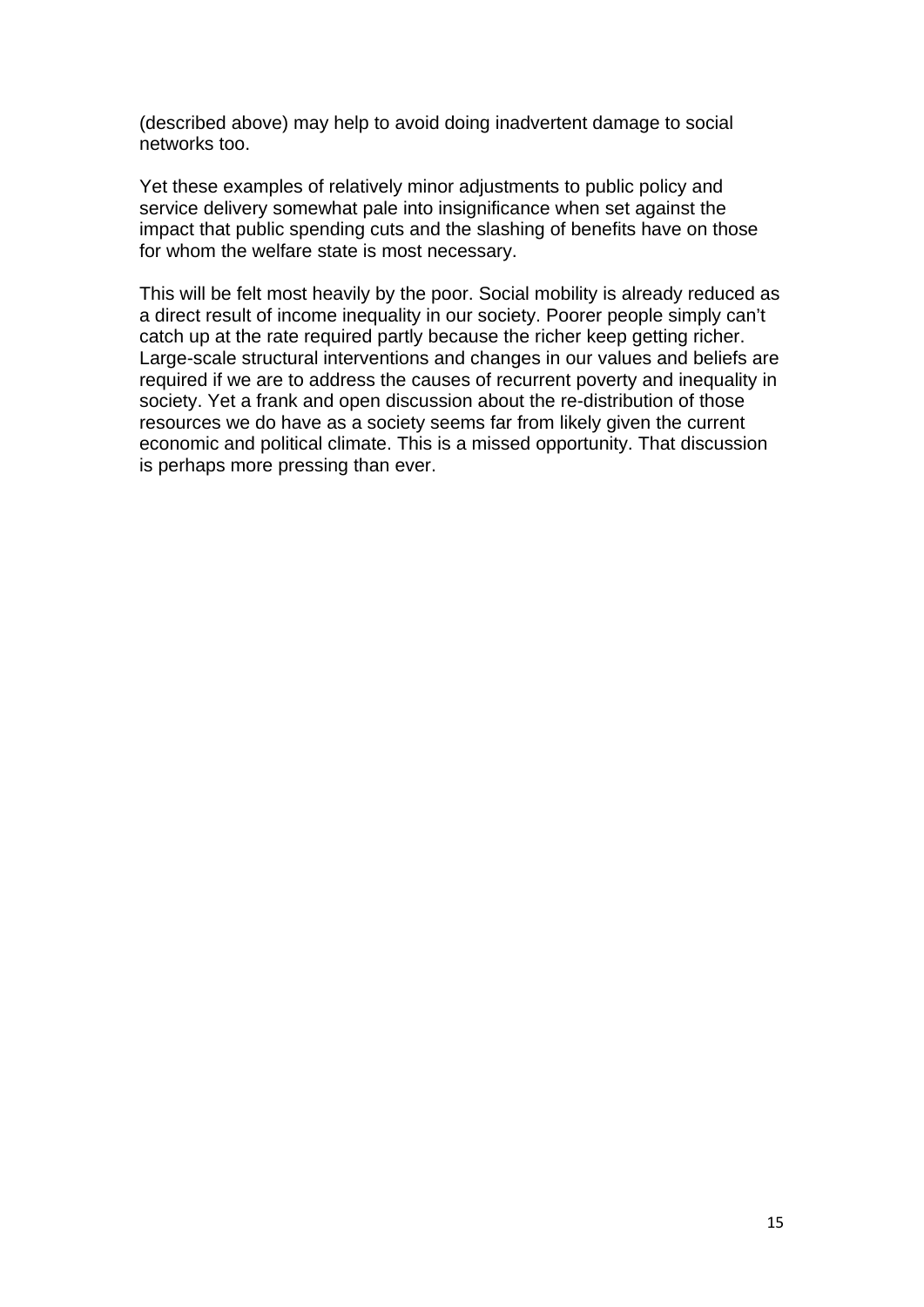(described above) may help to avoid doing inadvertent damage to social networks too.

Yet these examples of relatively minor adjustments to public policy and service delivery somewhat pale into insignificance when set against the impact that public spending cuts and the slashing of benefits have on those for whom the welfare state is most necessary.

This will be felt most heavily by the poor. Social mobility is already reduced as a direct result of income inequality in our society. Poorer people simply can't catch up at the rate required partly because the richer keep getting richer. Large-scale structural interventions and changes in our values and beliefs are required if we are to address the causes of recurrent poverty and inequality in society. Yet a frank and open discussion about the re-distribution of those resources we do have as a society seems far from likely given the current economic and political climate. This is a missed opportunity. That discussion is perhaps more pressing than ever.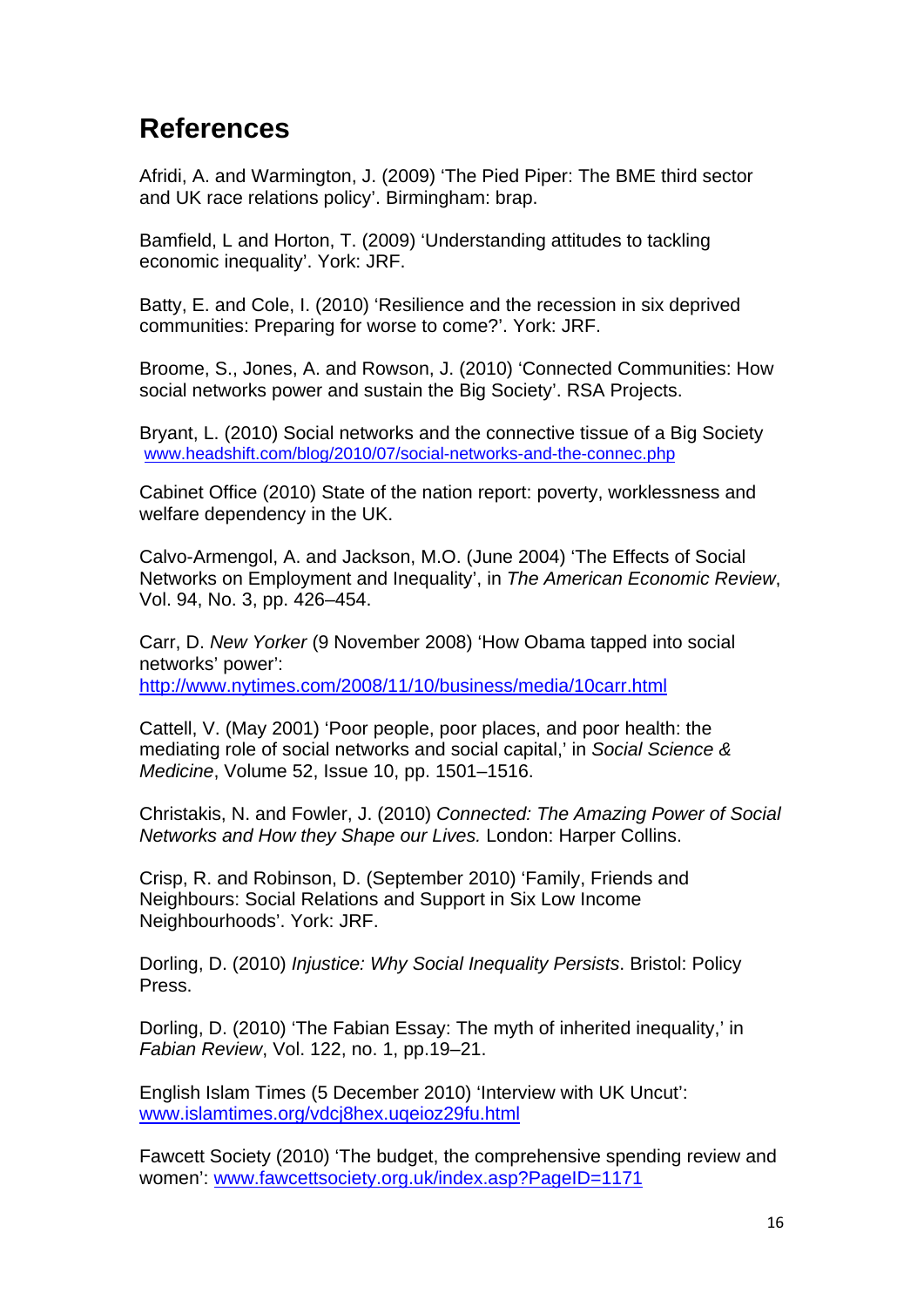### **References**

Afridi, A. and Warmington, J. (2009) 'The Pied Piper: The BME third sector and UK race relations policy'. Birmingham: brap.

Bamfield, L and Horton, T. (2009) 'Understanding attitudes to tackling economic inequality'. York: JRF.

Batty, E. and Cole, I. (2010) 'Resilience and the recession in six deprived communities: Preparing for worse to come?'. York: JRF.

Broome, S., Jones, A. and Rowson, J. (2010) 'Connected Communities: How social networks power and sustain the Big Society'. RSA Projects.

Bryant, L. (2010) Social networks and the connective tissue of a Big Society [www.headshift.com/blog/2010/07/social-networks-and-the-connec.php](http://www.headshift.com/blog/2010/07/social-networks-and-the-connec.php)

Cabinet Office (2010) State of the nation report: poverty, worklessness and welfare dependency in the UK.

Calvo-Armengol, A. and Jackson, M.O. (June 2004) 'The Effects of Social Networks on Employment and Inequality', in *The American Economic Review*, Vol. 94, No. 3, pp. 426–454.

Carr, D. *New Yorker* (9 November 2008) 'How Obama tapped into social networks' power': <http://www.nytimes.com/2008/11/10/business/media/10carr.html>

Cattell, V. (May 2001) 'Poor people, poor places, and poor health: the mediating role of social networks and social capital,' in *Social Science & Medicine*, Volume 52, Issue 10, pp. 1501–1516.

Christakis, N. and Fowler, J. (2010) *Connected: The Amazing Power of Social Networks and How they Shape our Lives.* London: Harper Collins.

Crisp, R. and Robinson, D. (September 2010) 'Family, Friends and Neighbours: Social Relations and Support in Six Low Income Neighbourhoods'. York: JRF.

Dorling, D. (2010) *Injustice: Why Social Inequality Persists*. Bristol: Policy Press.

Dorling, D. (2010) 'The Fabian Essay: The myth of inherited inequality,' in *Fabian Review*, Vol. 122, no. 1, pp.19–21.

English Islam Times (5 December 2010) 'Interview with UK Uncut': [www.islamtimes.org/vdcj8hex.uqeioz29fu.html](http://www.islamtimes.org/vdcj8hex.uqeioz29fu.html)

Fawcett Society (2010) 'The budget, the comprehensive spending review and women': [www.fawcettsociety.org.uk/index.asp?PageID=1171](http://www.fawcettsociety.org.uk/index.asp?PageID=1171)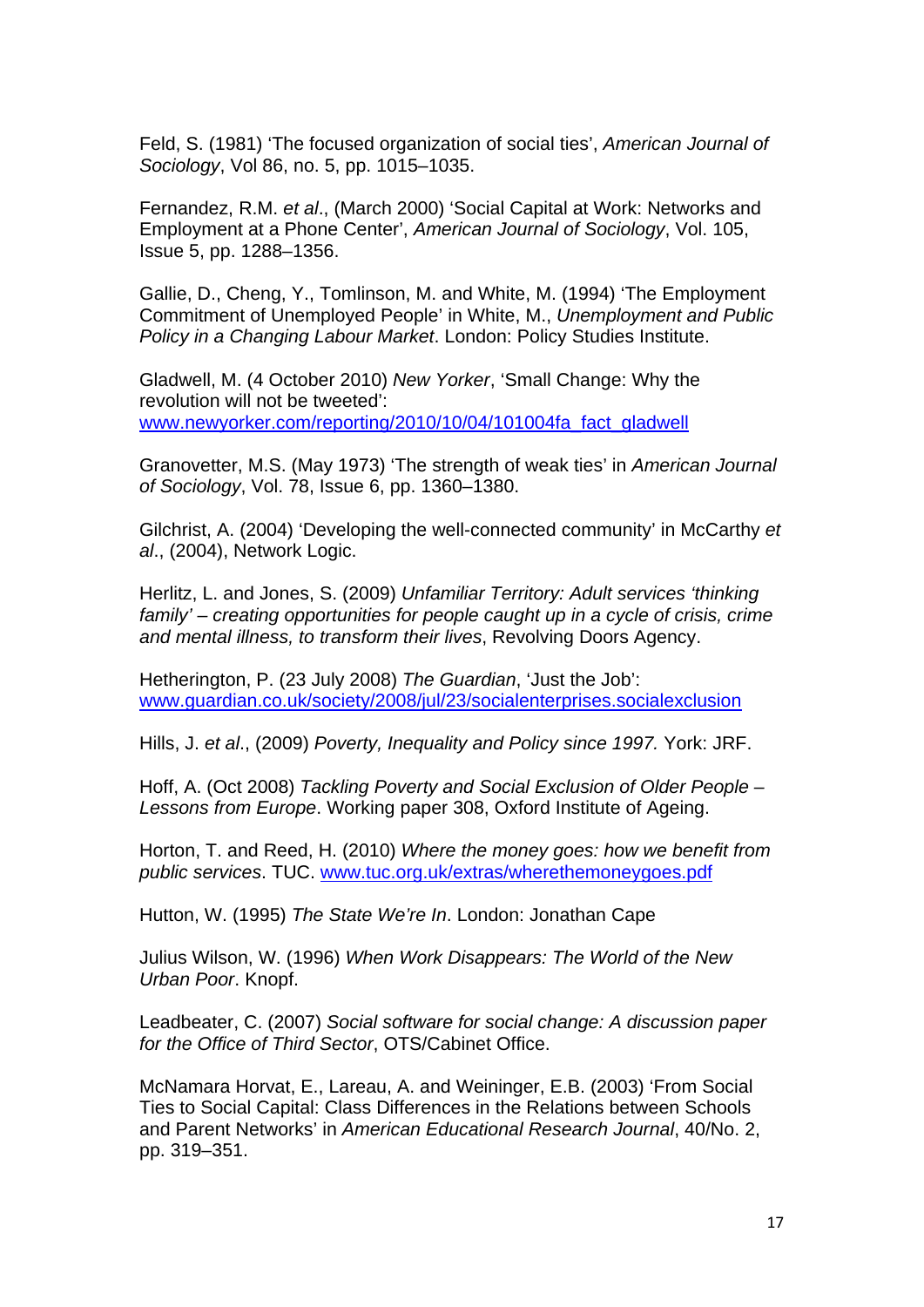Feld, S. (1981) 'The focused organization of social ties', *American Journal of Sociology*, Vol 86, no. 5, pp. 1015–1035.

Fernandez, R.M. *et al*., (March 2000) 'Social Capital at Work: Networks and Employment at a Phone Center', *American Journal of Sociology*, Vol. 105, Issue 5, pp. 1288–1356.

Gallie, D., Cheng, Y., Tomlinson, M. and White, M. (1994) 'The Employment Commitment of Unemployed People' in White, M., *Unemployment and Public Policy in a Changing Labour Market*. London: Policy Studies Institute.

Gladwell, M. (4 October 2010) *New Yorker*, 'Small Change: Why the revolution will not be tweeted': [www.newyorker.com/reporting/2010/10/04/101004fa\\_fact\\_gladwell](http://www.newyorker.com/reporting/2010/10/04/101004fa_fact_gladwell)

Granovetter, M.S. (May 1973) 'The strength of weak ties' in *American Journal of Sociology*, Vol. 78, Issue 6, pp. 1360–1380.

Gilchrist, A. (2004) 'Developing the well-connected community' in McCarthy *et al*., (2004), Network Logic.

Herlitz, L. and Jones, S. (2009) *Unfamiliar Territory: Adult services 'thinking family' – creating opportunities for people caught up in a cycle of crisis, crime and mental illness, to transform their lives*, Revolving Doors Agency.

Hetherington, P. (23 July 2008) *The Guardian*, 'Just the Job': [www.guardian.co.uk/society/2008/jul/23/socialenterprises.socialexclusion](http://www.guardian.co.uk/society/2008/jul/23/socialenterprises.socialexclusion)

Hills, J. *et al*., (2009) *Poverty, Inequality and Policy since 1997.* York: JRF.

Hoff, A. (Oct 2008) *Tackling Poverty and Social Exclusion of Older People – Lessons from Europe*. Working paper 308, Oxford Institute of Ageing.

Horton, T. and Reed, H. (2010) *Where the money goes: how we benefit from public services*. TUC. [www.tuc.org.uk/extras/wherethemoneygoes.pdf](http://www.tuc.org.uk/extras/wherethemoneygoes.pdf)

Hutton, W. (1995) *The State We're In*. London: Jonathan Cape

Julius Wilson, W. (1996) *When Work Disappears: The World of the New Urban Poor*. Knopf.

Leadbeater, C. (2007) *Social software for social change: A discussion paper for the Office of Third Sector*, OTS/Cabinet Office.

McNamara Horvat, E., Lareau, A. and Weininger, E.B. (2003) 'From Social Ties to Social Capital: Class Differences in the Relations between Schools and Parent Networks' in *American Educational Research Journal*, 40/No. 2, pp. 319–351.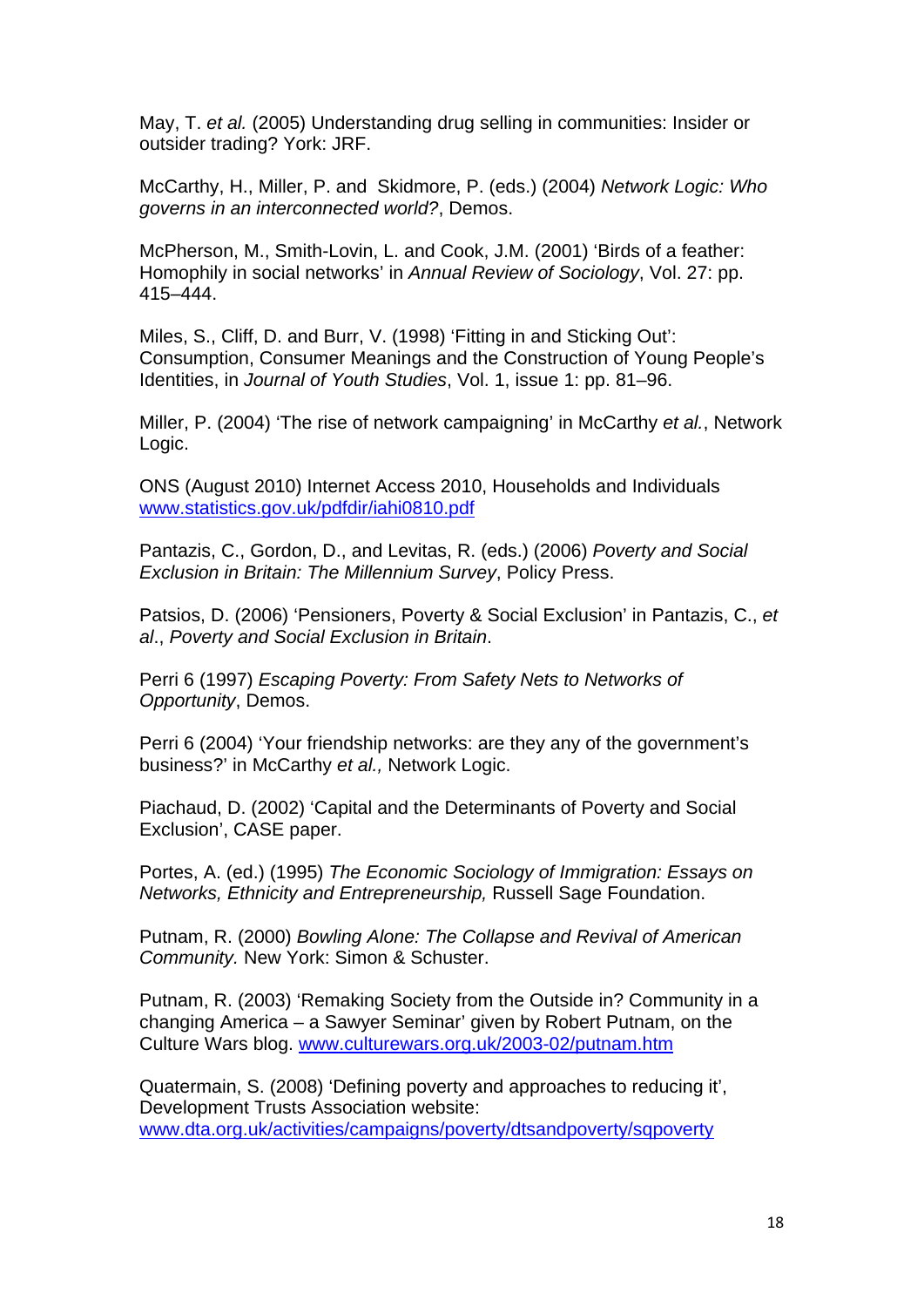May, T. *et al.* (2005) Understanding drug selling in communities: Insider or outsider trading? York: JRF.

McCarthy, H., Miller, P. and Skidmore, P. (eds.) (2004) *Network Logic: Who governs in an interconnected world?*, Demos.

McPherson, M., Smith-Lovin, L. and Cook, J.M. (2001) 'Birds of a feather: Homophily in social networks' in *Annual Review of Sociology*, Vol. 27: pp. 415–444.

Miles, S., Cliff, D. and Burr, V. (1998) 'Fitting in and Sticking Out': Consumption, Consumer Meanings and the Construction of Young People's Identities, in *Journal of Youth Studies*, Vol. 1, issue 1: pp. 81–96.

Miller, P. (2004) 'The rise of network campaigning' in McCarthy *et al.*, Network Logic.

ONS (August 2010) Internet Access 2010, Households and Individuals [www.statistics.gov.uk/pdfdir/iahi0810.pdf](http://www.statistics.gov.uk/pdfdir/iahi0810.pdf) 

Pantazis, C., Gordon, D., and Levitas, R. (eds.) (2006) *Poverty and Social Exclusion in Britain: The Millennium Survey*, Policy Press.

Patsios, D. (2006) 'Pensioners, Poverty & Social Exclusion' in Pantazis, C., *et al*., *Poverty and Social Exclusion in Britain*.

Perri 6 (1997) *Escaping Poverty: From Safety Nets to Networks of Opportunity*, Demos.

Perri 6 (2004) 'Your friendship networks: are they any of the government's business?' in McCarthy *et al.,* Network Logic.

Piachaud, D. (2002) 'Capital and the Determinants of Poverty and Social Exclusion', CASE paper.

Portes, A. (ed.) (1995) *The Economic Sociology of Immigration: Essays on Networks, Ethnicity and Entrepreneurship,* Russell Sage Foundation.

Putnam, R. (2000) *Bowling Alone: The Collapse and Revival of American Community.* New York: Simon & Schuster.

Putnam, R. (2003) 'Remaking Society from the Outside in? Community in a changing America – a Sawyer Seminar' given by Robert Putnam, on the Culture Wars blog. [www.culturewars.org.uk/2003-02/putnam.htm](http://www.culturewars.org.uk/2003-02/putnam.htm)

Quatermain, S. (2008) 'Defining poverty and approaches to reducing it', Development Trusts Association website: [www.dta.org.uk/activities/campaigns/poverty/dtsandpoverty/sqpoverty](http://www.dta.org.uk/activities/campaigns/poverty/dtsandpoverty/sqpoverty)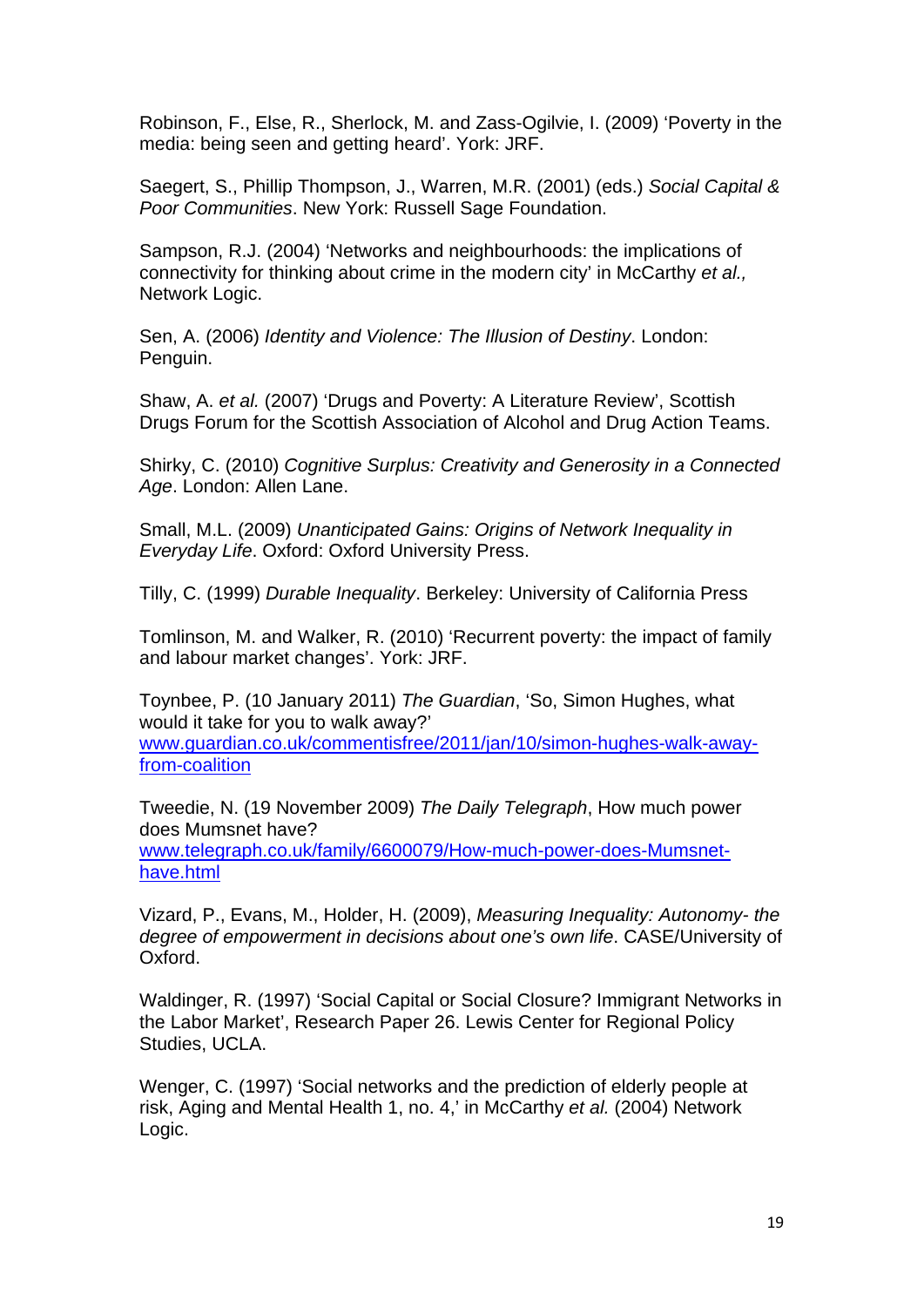Robinson, F., Else, R., Sherlock, M. and Zass-Ogilvie, I. (2009) 'Poverty in the media: being seen and getting heard'. York: JRF.

Saegert, S., Phillip Thompson, J., Warren, M.R. (2001) (eds.) *Social Capital & Poor Communities*. New York: Russell Sage Foundation.

Sampson, R.J. (2004) 'Networks and neighbourhoods: the implications of connectivity for thinking about crime in the modern city' in McCarthy *et al.,* Network Logic.

Sen, A. (2006) *Identity and Violence: The Illusion of Destiny*. London: Penguin.

Shaw, A. *et al.* (2007) 'Drugs and Poverty: A Literature Review', Scottish Drugs Forum for the Scottish Association of Alcohol and Drug Action Teams.

Shirky, C. (2010) *Cognitive Surplus: Creativity and Generosity in a Connected Age*. London: Allen Lane.

Small, M.L. (2009) *Unanticipated Gains: Origins of Network Inequality in Everyday Life*. Oxford: Oxford University Press.

Tilly, C. (1999) *Durable Inequality*. Berkeley: University of California Press

Tomlinson, M. and Walker, R. (2010) 'Recurrent poverty: the impact of family and labour market changes'. York: JRF.

Toynbee, P. (10 January 2011) *The Guardian*, 'So, Simon Hughes, what would it take for you to walk away?' [www.guardian.co.uk/commentisfree/2011/jan/10/simon-hughes-walk-away-](http://www.guardian.co.uk/commentisfree/2011/jan/10/simon-hughes-walk-away-from-coalition)

[from-coalition](http://www.guardian.co.uk/commentisfree/2011/jan/10/simon-hughes-walk-away-from-coalition)

Tweedie, N. (19 November 2009) *The Daily Telegraph*, How much power does Mumsnet have? [www.telegraph.co.uk/family/6600079/How-much-power-does-Mumsnet](http://www.telegraph.co.uk/family/6600079/How-much-power-does-Mumsnet-have.html)[have.html](http://www.telegraph.co.uk/family/6600079/How-much-power-does-Mumsnet-have.html)

Vizard, P., Evans, M., Holder, H. (2009), *Measuring Inequality: Autonomy- the degree of empowerment in decisions about one's own life*. CASE/University of Oxford.

Waldinger, R. (1997) 'Social Capital or Social Closure? Immigrant Networks in the Labor Market', Research Paper 26. Lewis Center for Regional Policy Studies, UCLA.

Wenger, C. (1997) 'Social networks and the prediction of elderly people at risk, Aging and Mental Health 1, no. 4,' in McCarthy *et al.* (2004) Network Logic.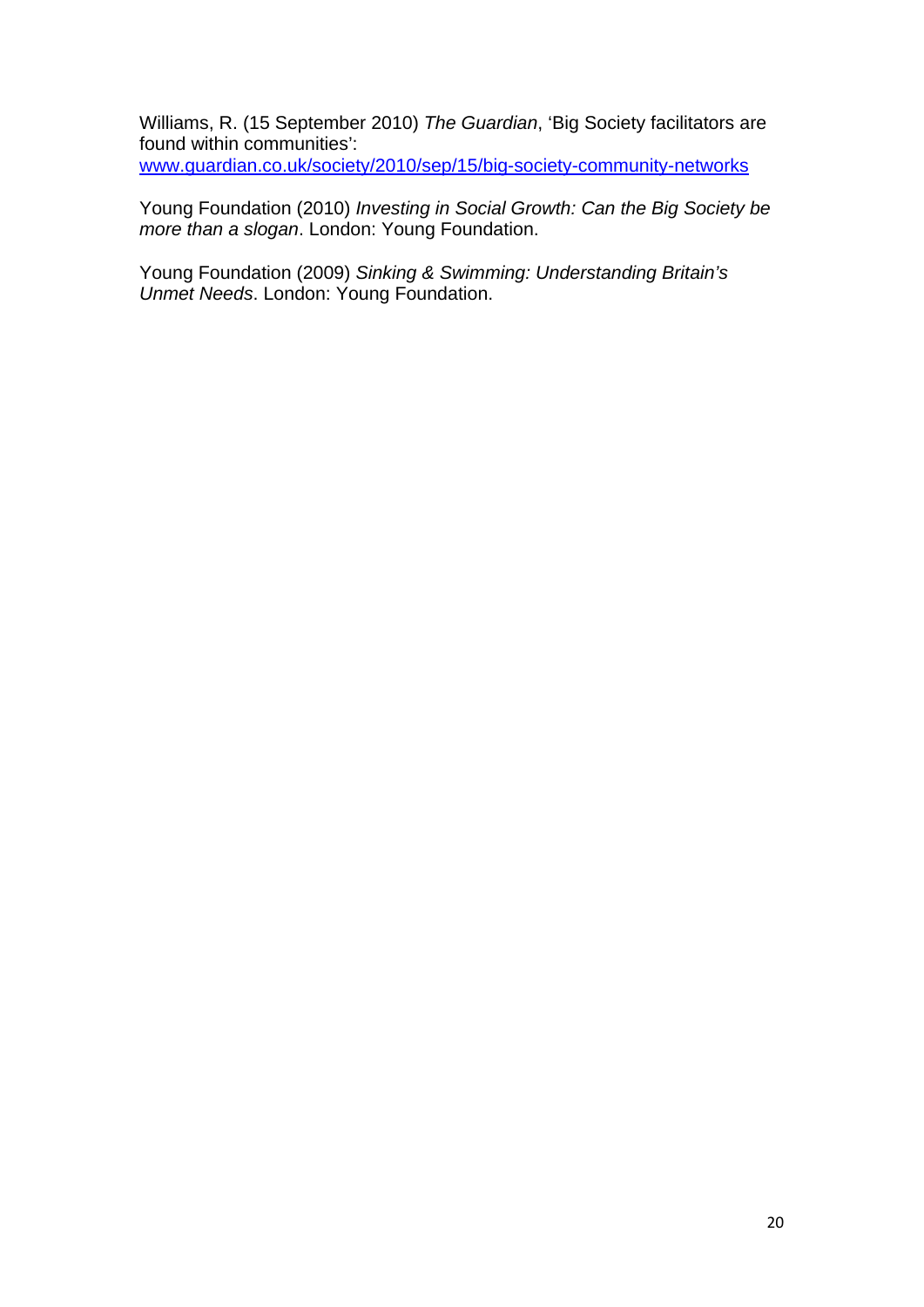Williams, R. (15 September 2010) *The Guardian*, 'Big Society facilitators are found within communities':

[www.guardian.co.uk/society/2010/sep/15/big-society-community-networks](http://www.guardian.co.uk/society/2010/sep/15/big-society-community-networks)

Young Foundation (2010) *Investing in Social Growth: Can the Big Society be more than a slogan*. London: Young Foundation.

Young Foundation (2009) *Sinking & Swimming: Understanding Britain's Unmet Needs*. London: Young Foundation.